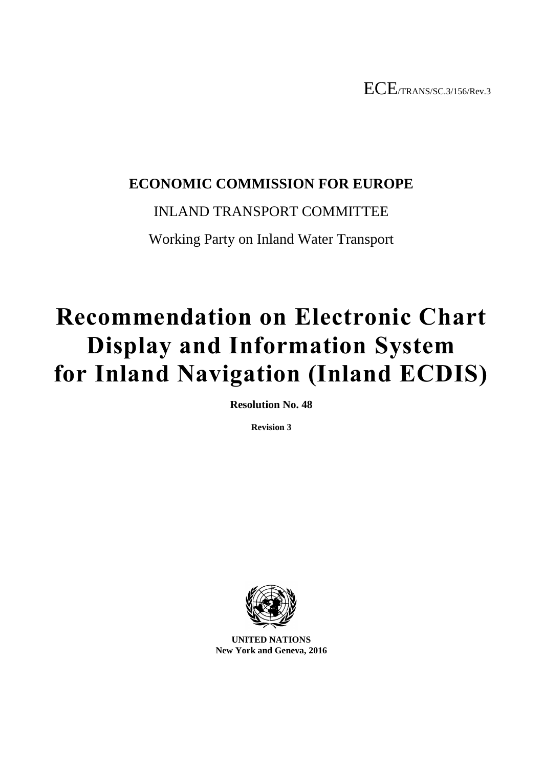# **ECONOMIC COMMISSION FOR EUROPE**

# INLAND TRANSPORT COMMITTEE

Working Party on Inland Water Transport

# **Recommendation on Electronic Chart Display and Information System for Inland Navigation (Inland ECDIS)**

**Resolution No. 48**

**Revision 3**



**UNITED NATIONS New York and Geneva, 2016**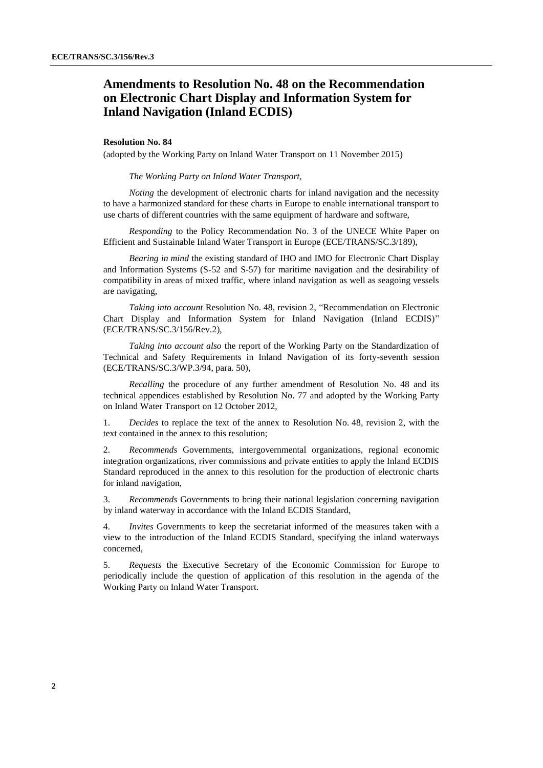# **Amendments to Resolution No. 48 on the Recommendation on Electronic Chart Display and Information System for Inland Navigation (Inland ECDIS)**

#### **Resolution No. 84**

(adopted by the Working Party on Inland Water Transport on 11 November 2015)

#### *The Working Party on Inland Water Transport,*

*Noting* the development of electronic charts for inland navigation and the necessity to have a harmonized standard for these charts in Europe to enable international transport to use charts of different countries with the same equipment of hardware and software,

*Responding* to the Policy Recommendation No. 3 of the UNECE White Paper on Efficient and Sustainable Inland Water Transport in Europe (ECE/TRANS/SC.3/189),

*Bearing in mind* the existing standard of IHO and IMO for Electronic Chart Display and Information Systems (S-52 and S-57) for maritime navigation and the desirability of compatibility in areas of mixed traffic, where inland navigation as well as seagoing vessels are navigating,

*Taking into account* Resolution No. 48, revision 2, "Recommendation on Electronic Chart Display and Information System for Inland Navigation (Inland ECDIS)" (ECE/TRANS/SC.3/156/Rev.2),

*Taking into account also* the report of the Working Party on the Standardization of Technical and Safety Requirements in Inland Navigation of its forty-seventh session (ECE/TRANS/SC.3/WP.3/94, para. 50),

*Recalling* the procedure of any further amendment of Resolution No. 48 and its technical appendices established by Resolution No. 77 and adopted by the Working Party on Inland Water Transport on 12 October 2012,

1. *Decides* to replace the text of the annex to Resolution No. 48, revision 2, with the text contained in the annex to this resolution;

2. *Recommends* Governments, intergovernmental organizations, regional economic integration organizations, river commissions and private entities to apply the Inland ECDIS Standard reproduced in the annex to this resolution for the production of electronic charts for inland navigation,

3. *Recommends* Governments to bring their national legislation concerning navigation by inland waterway in accordance with the Inland ECDIS Standard,

4. *Invites* Governments to keep the secretariat informed of the measures taken with a view to the introduction of the Inland ECDIS Standard, specifying the inland waterways concerned,

5. *Requests* the Executive Secretary of the Economic Commission for Europe to periodically include the question of application of this resolution in the agenda of the Working Party on Inland Water Transport.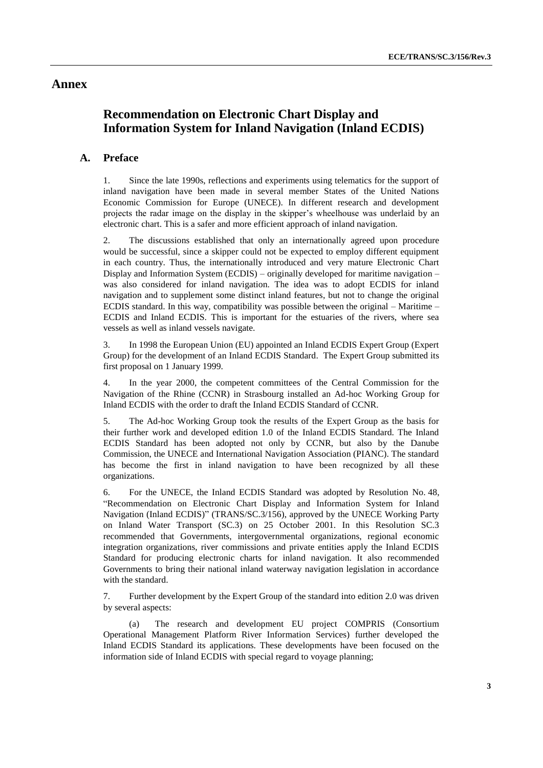# **Annex**

# **Recommendation on Electronic Chart Display and Information System for Inland Navigation (Inland ECDIS)**

# **A. Preface**

1. Since the late 1990s, reflections and experiments using telematics for the support of inland navigation have been made in several member States of the United Nations Economic Commission for Europe (UNECE). In different research and development projects the radar image on the display in the skipper's wheelhouse was underlaid by an electronic chart. This is a safer and more efficient approach of inland navigation.

2. The discussions established that only an internationally agreed upon procedure would be successful, since a skipper could not be expected to employ different equipment in each country. Thus, the internationally introduced and very mature Electronic Chart Display and Information System (ECDIS) – originally developed for maritime navigation – was also considered for inland navigation. The idea was to adopt ECDIS for inland navigation and to supplement some distinct inland features, but not to change the original ECDIS standard. In this way, compatibility was possible between the original – Maritime – ECDIS and Inland ECDIS. This is important for the estuaries of the rivers, where sea vessels as well as inland vessels navigate.

3. In 1998 the European Union (EU) appointed an Inland ECDIS Expert Group (Expert Group) for the development of an Inland ECDIS Standard. The Expert Group submitted its first proposal on 1 January 1999.

4. In the year 2000, the competent committees of the Central Commission for the Navigation of the Rhine (CCNR) in Strasbourg installed an Ad-hoc Working Group for Inland ECDIS with the order to draft the Inland ECDIS Standard of CCNR.

5. The Ad-hoc Working Group took the results of the Expert Group as the basis for their further work and developed edition 1.0 of the Inland ECDIS Standard. The Inland ECDIS Standard has been adopted not only by CCNR, but also by the Danube Commission, the UNECE and International Navigation Association (PIANC). The standard has become the first in inland navigation to have been recognized by all these organizations.

6. For the UNECE, the Inland ECDIS Standard was adopted by Resolution No. 48, "Recommendation on Electronic Chart Display and Information System for Inland Navigation (Inland ECDIS)" (TRANS/SC.3/156), approved by the UNECE Working Party on Inland Water Transport (SC.3) on 25 October 2001. In this Resolution SC.3 recommended that Governments, intergovernmental organizations, regional economic integration organizations, river commissions and private entities apply the Inland ECDIS Standard for producing electronic charts for inland navigation. It also recommended Governments to bring their national inland waterway navigation legislation in accordance with the standard.

7. Further development by the Expert Group of the standard into edition 2.0 was driven by several aspects:

(a) The research and development EU project COMPRIS (Consortium Operational Management Platform River Information Services) further developed the Inland ECDIS Standard its applications. These developments have been focused on the information side of Inland ECDIS with special regard to voyage planning;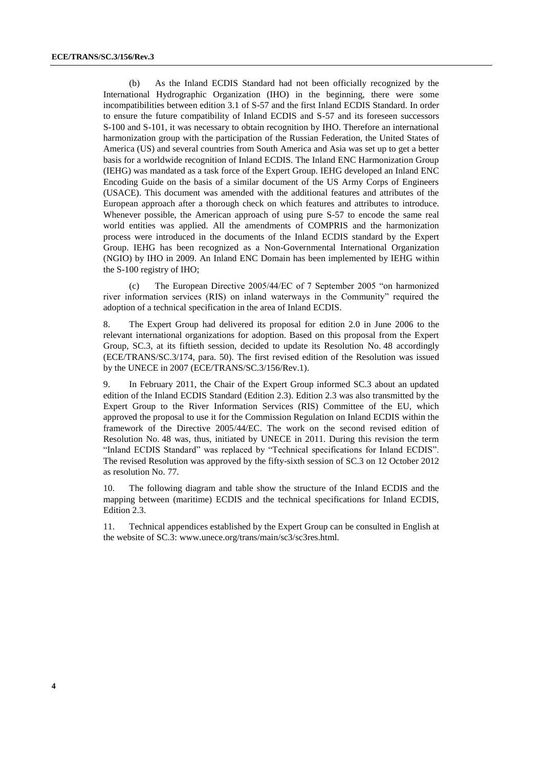(b) As the Inland ECDIS Standard had not been officially recognized by the International Hydrographic Organization (IHO) in the beginning, there were some incompatibilities between edition 3.1 of S-57 and the first Inland ECDIS Standard. In order to ensure the future compatibility of Inland ECDIS and S-57 and its foreseen successors S-100 and S-101, it was necessary to obtain recognition by IHO. Therefore an international harmonization group with the participation of the Russian Federation, the United States of America (US) and several countries from South America and Asia was set up to get a better basis for a worldwide recognition of Inland ECDIS. The Inland ENC Harmonization Group (IEHG) was mandated as a task force of the Expert Group. IEHG developed an Inland ENC Encoding Guide on the basis of a similar document of the US Army Corps of Engineers (USACE). This document was amended with the additional features and attributes of the European approach after a thorough check on which features and attributes to introduce. Whenever possible, the American approach of using pure S-57 to encode the same real world entities was applied. All the amendments of COMPRIS and the harmonization process were introduced in the documents of the Inland ECDIS standard by the Expert Group. IEHG has been recognized as a Non-Governmental International Organization (NGIO) by IHO in 2009. An Inland ENC Domain has been implemented by IEHG within the S-100 registry of IHO;

(c) The European Directive 2005/44/EC of 7 September 2005 "on harmonized river information services (RIS) on inland waterways in the Community" required the adoption of a technical specification in the area of Inland ECDIS.

8. The Expert Group had delivered its proposal for edition 2.0 in June 2006 to the relevant international organizations for adoption. Based on this proposal from the Expert Group, SC.3, at its fiftieth session, decided to update its Resolution No. 48 accordingly (ECE/TRANS/SC.3/174, para. 50). The first revised edition of the Resolution was issued by the UNECE in 2007 (ECE/TRANS/SC.3/156/Rev.1).

9. In February 2011, the Chair of the Expert Group informed SC.3 about an updated edition of the Inland ECDIS Standard (Edition 2.3). Edition 2.3 was also transmitted by the Expert Group to the River Information Services (RIS) Committee of the EU, which approved the proposal to use it for the Commission Regulation on Inland ECDIS within the framework of the Directive 2005/44/EC. The work on the second revised edition of Resolution No. 48 was, thus, initiated by UNECE in 2011. During this revision the term "Inland ECDIS Standard" was replaced by "Technical specifications for Inland ECDIS". The revised Resolution was approved by the fifty-sixth session of SC.3 on 12 October 2012 as resolution No. 77.

10. The following diagram and table show the structure of the Inland ECDIS and the mapping between (maritime) ECDIS and the technical specifications for Inland ECDIS, Edition 2.3.

11. Technical appendices established by the Expert Group can be consulted in English at the website of SC.3: www.unece.org/trans/main/sc3/sc3res.html.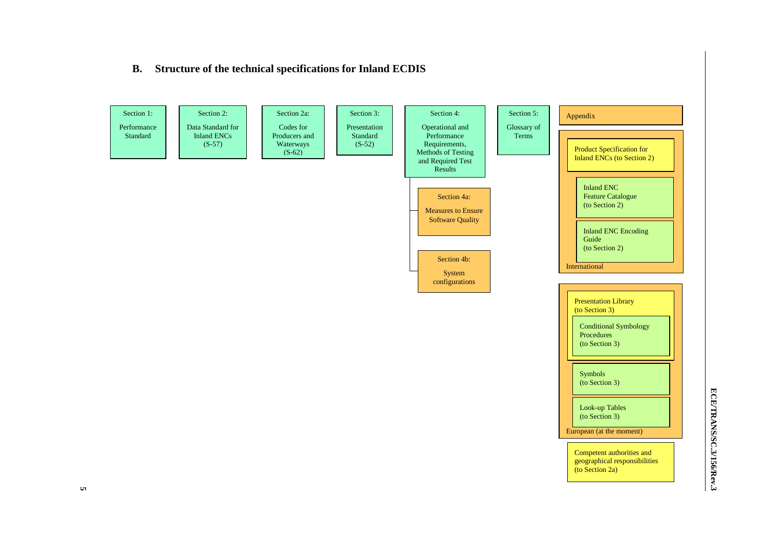# **B. Structure of the technical specifications for Inland ECDIS**

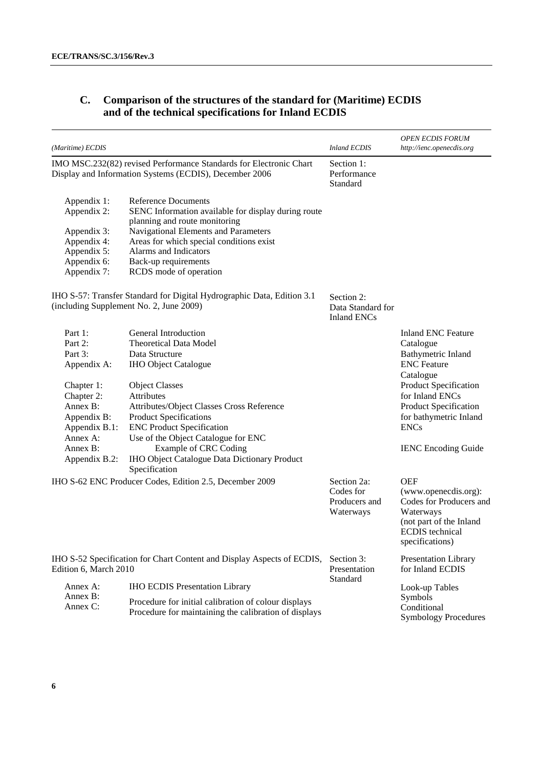# **C. Comparison of the structures of the standard for (Maritime) ECDIS and of the technical specifications for Inland ECDIS**

| (Maritime) ECDIS                                                                                                                                              |                                                                                                                                                                                                                                                                                                                                                                                                         | <b>Inland ECDIS</b>                                    | <b>OPEN ECDIS FORUM</b><br>http://ienc.openecdis.org                                                                                                                                                                                        |
|---------------------------------------------------------------------------------------------------------------------------------------------------------------|---------------------------------------------------------------------------------------------------------------------------------------------------------------------------------------------------------------------------------------------------------------------------------------------------------------------------------------------------------------------------------------------------------|--------------------------------------------------------|---------------------------------------------------------------------------------------------------------------------------------------------------------------------------------------------------------------------------------------------|
|                                                                                                                                                               | IMO MSC.232(82) revised Performance Standards for Electronic Chart<br>Display and Information Systems (ECDIS), December 2006                                                                                                                                                                                                                                                                            | Section 1:<br>Performance<br>Standard                  |                                                                                                                                                                                                                                             |
| Appendix 1:<br>Appendix 2:<br>Appendix 3:<br>Appendix 4:<br>Appendix 5:<br>Appendix 6:<br>Appendix 7:                                                         | <b>Reference Documents</b><br>SENC Information available for display during route<br>planning and route monitoring<br>Navigational Elements and Parameters<br>Areas for which special conditions exist<br>Alarms and Indicators<br>Back-up requirements<br>RCDS mode of operation                                                                                                                       |                                                        |                                                                                                                                                                                                                                             |
|                                                                                                                                                               | IHO S-57: Transfer Standard for Digital Hydrographic Data, Edition 3.1<br>(including Supplement No. 2, June 2009)                                                                                                                                                                                                                                                                                       | Section 2:<br>Data Standard for<br><b>Inland ENCs</b>  |                                                                                                                                                                                                                                             |
| Part 1:<br>Part 2:<br>Part 3:<br>Appendix A:<br>Chapter 1:<br>Chapter 2:<br>Annex B:<br>Appendix B:<br>Appendix B.1:<br>Annex A:<br>Annex B:<br>Appendix B.2: | General Introduction<br><b>Theoretical Data Model</b><br>Data Structure<br><b>IHO Object Catalogue</b><br><b>Object Classes</b><br><b>Attributes</b><br>Attributes/Object Classes Cross Reference<br><b>Product Specifications</b><br><b>ENC Product Specification</b><br>Use of the Object Catalogue for ENC<br>Example of CRC Coding<br>IHO Object Catalogue Data Dictionary Product<br>Specification |                                                        | <b>Inland ENC Feature</b><br>Catalogue<br>Bathymetric Inland<br><b>ENC</b> Feature<br>Catalogue<br>Product Specification<br>for Inland ENCs<br>Product Specification<br>for bathymetric Inland<br><b>ENCs</b><br><b>IENC</b> Encoding Guide |
|                                                                                                                                                               | IHO S-62 ENC Producer Codes, Edition 2.5, December 2009                                                                                                                                                                                                                                                                                                                                                 | Section 2a:<br>Codes for<br>Producers and<br>Waterways | <b>OEF</b><br>(www.openecdis.org):<br>Codes for Producers and<br>Waterways<br>(not part of the Inland<br><b>ECDIS</b> technical<br>specifications)                                                                                          |
| IHO S-52 Specification for Chart Content and Display Aspects of ECDIS,<br>Edition 6, March 2010                                                               |                                                                                                                                                                                                                                                                                                                                                                                                         | Section 3:<br>Presentation                             | <b>Presentation Library</b><br>for Inland ECDIS                                                                                                                                                                                             |
| Annex A:<br>Annex B:<br>Annex C:                                                                                                                              | <b>IHO ECDIS Presentation Library</b><br>Procedure for initial calibration of colour displays<br>Procedure for maintaining the calibration of displays                                                                                                                                                                                                                                                  | Standard                                               | Look-up Tables<br>Symbols<br>Conditional<br><b>Symbology Procedures</b>                                                                                                                                                                     |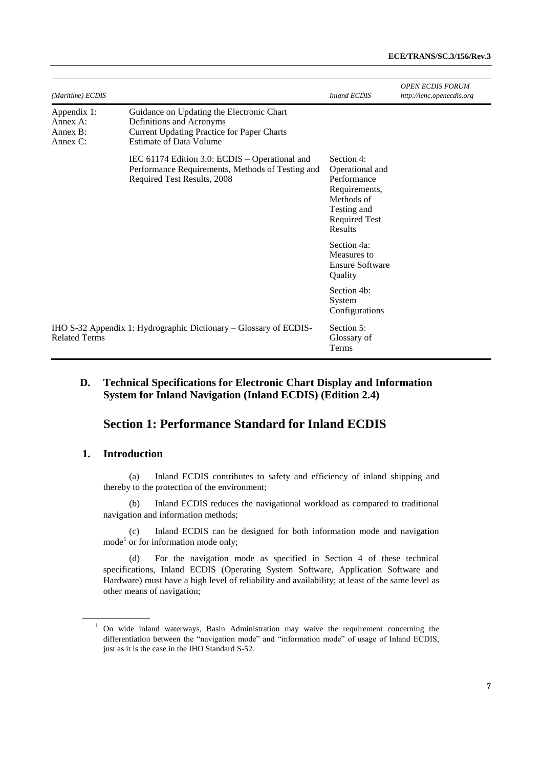| (Maritime) ECDIS                                   |                                                                                                                                                              | <b>Inland ECDIS</b>                                                                                                           | <b>OPEN ECDIS FORUM</b><br>http://ienc.openecdis.org |
|----------------------------------------------------|--------------------------------------------------------------------------------------------------------------------------------------------------------------|-------------------------------------------------------------------------------------------------------------------------------|------------------------------------------------------|
| Appendix 1:<br>Annex A:<br>Annex B:<br>Annex $C$ : | Guidance on Updating the Electronic Chart<br>Definitions and Acronyms<br><b>Current Updating Practice for Paper Charts</b><br><b>Estimate of Data Volume</b> |                                                                                                                               |                                                      |
|                                                    | IEC 61174 Edition 3.0: ECDIS – Operational and<br>Performance Requirements, Methods of Testing and<br>Required Test Results, 2008                            | Section 4:<br>Operational and<br>Performance<br>Requirements,<br>Methods of<br>Testing and<br><b>Required Test</b><br>Results |                                                      |
|                                                    |                                                                                                                                                              | Section 4a:<br>Measures to<br><b>Ensure Software</b><br>Quality                                                               |                                                      |
|                                                    |                                                                                                                                                              | Section 4b:<br>System<br>Configurations                                                                                       |                                                      |
| <b>Related Terms</b>                               | IHO S-32 Appendix 1: Hydrographic Dictionary – Glossary of ECDIS-                                                                                            | Section 5:<br>Glossary of<br><b>Terms</b>                                                                                     |                                                      |

# **D. Technical Specifications for Electronic Chart Display and Information System for Inland Navigation (Inland ECDIS) (Edition 2.4)**

# **Section 1: Performance Standard for Inland ECDIS**

# **1. Introduction**

(a) Inland ECDIS contributes to safety and efficiency of inland shipping and thereby to the protection of the environment;

(b) Inland ECDIS reduces the navigational workload as compared to traditional navigation and information methods;

(c) Inland ECDIS can be designed for both information mode and navigation  $mode<sup>1</sup>$  or for information mode only;

(d) For the navigation mode as specified in Section 4 of these technical specifications, Inland ECDIS (Operating System Software, Application Software and Hardware) must have a high level of reliability and availability; at least of the same level as other means of navigation;

<sup>&</sup>lt;sup>1</sup> On wide inland waterways, Basin Administration may waive the requirement concerning the differentiation between the "navigation mode" and "information mode" of usage of Inland ECDIS, just as it is the case in the IHO Standard S-52.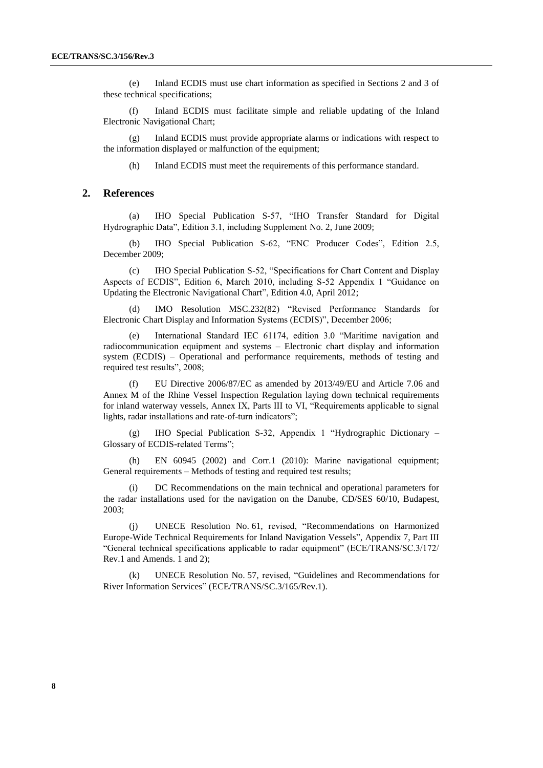(e) Inland ECDIS must use chart information as specified in Sections 2 and 3 of these technical specifications;

(f) Inland ECDIS must facilitate simple and reliable updating of the Inland Electronic Navigational Chart;

(g) Inland ECDIS must provide appropriate alarms or indications with respect to the information displayed or malfunction of the equipment;

(h) Inland ECDIS must meet the requirements of this performance standard.

#### **2. References**

(a) IHO Special Publication S-57, "IHO Transfer Standard for Digital Hydrographic Data", Edition 3.1, including Supplement No. 2, June 2009;

(b) IHO Special Publication S-62, "ENC Producer Codes", Edition 2.5, December 2009;

(c) IHO Special Publication S-52, "Specifications for Chart Content and Display Aspects of ECDIS", Edition 6, March 2010, including S-52 Appendix 1 "Guidance on Updating the Electronic Navigational Chart", Edition 4.0, April 2012;

(d) IMO Resolution MSC.232(82) "Revised Performance Standards for Electronic Chart Display and Information Systems (ECDIS)", December 2006;

(e) International Standard IEC 61174, edition 3.0 "Maritime navigation and radiocommunication equipment and systems – Electronic chart display and information system (ECDIS) – Operational and performance requirements, methods of testing and required test results", 2008;

(f) EU Directive 2006/87/EC as amended by 2013/49/EU and Article 7.06 and Annex M of the Rhine Vessel Inspection Regulation laying down technical requirements for inland waterway vessels, Annex IX, Parts III to VI, "Requirements applicable to signal lights, radar installations and rate-of-turn indicators";

(g) IHO Special Publication S-32, Appendix 1 "Hydrographic Dictionary – Glossary of ECDIS-related Terms";

(h) EN 60945 (2002) and Corr.1 (2010): Marine navigational equipment; General requirements – Methods of testing and required test results;

DC Recommendations on the main technical and operational parameters for the radar installations used for the navigation on the Danube, CD/SES 60/10, Budapest, 2003;

(j) UNECE Resolution No. 61, revised, "Recommendations on Harmonized Europe-Wide Technical Requirements for Inland Navigation Vessels", Appendix 7, Part III "General technical specifications applicable to radar equipment" (ECE/TRANS/SC.3/172/ Rev.1 and Amends. 1 and 2);

(k) UNECE Resolution No. 57, revised, "Guidelines and Recommendations for River Information Services" (ECE/TRANS/SC.3/165/Rev.1).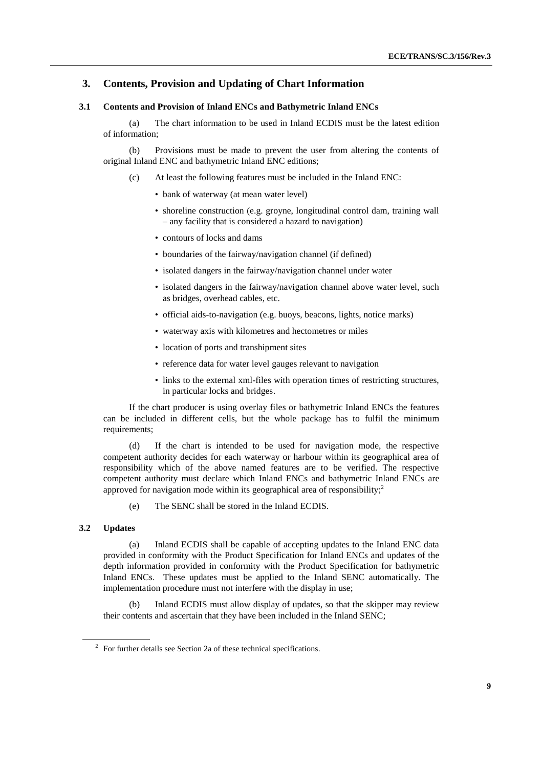# **3. Contents, Provision and Updating of Chart Information**

#### **3.1 Contents and Provision of Inland ENCs and Bathymetric Inland ENCs**

(a) The chart information to be used in Inland ECDIS must be the latest edition of information;

(b) Provisions must be made to prevent the user from altering the contents of original Inland ENC and bathymetric Inland ENC editions;

- (c) At least the following features must be included in the Inland ENC:
	- bank of waterway (at mean water level)
	- shoreline construction (e.g. groyne, longitudinal control dam, training wall – any facility that is considered a hazard to navigation)
	- contours of locks and dams
	- boundaries of the fairway/navigation channel (if defined)
	- isolated dangers in the fairway/navigation channel under water
	- isolated dangers in the fairway/navigation channel above water level, such as bridges, overhead cables, etc.
	- official aids-to-navigation (e.g. buoys, beacons, lights, notice marks)
	- waterway axis with kilometres and hectometres or miles
	- location of ports and transhipment sites
	- reference data for water level gauges relevant to navigation
	- links to the external xml-files with operation times of restricting structures, in particular locks and bridges.

If the chart producer is using overlay files or bathymetric Inland ENCs the features can be included in different cells, but the whole package has to fulfil the minimum requirements;

(d) If the chart is intended to be used for navigation mode, the respective competent authority decides for each waterway or harbour within its geographical area of responsibility which of the above named features are to be verified. The respective competent authority must declare which Inland ENCs and bathymetric Inland ENCs are approved for navigation mode within its geographical area of responsibility; 2

(e) The SENC shall be stored in the Inland ECDIS.

# **3.2 Updates**

(a) Inland ECDIS shall be capable of accepting updates to the Inland ENC data provided in conformity with the Product Specification for Inland ENCs and updates of the depth information provided in conformity with the Product Specification for bathymetric Inland ENCs. These updates must be applied to the Inland SENC automatically. The implementation procedure must not interfere with the display in use;

(b) Inland ECDIS must allow display of updates, so that the skipper may review their contents and ascertain that they have been included in the Inland SENC;

 $2^{\circ}$  For further details see Section 2a of these technical specifications.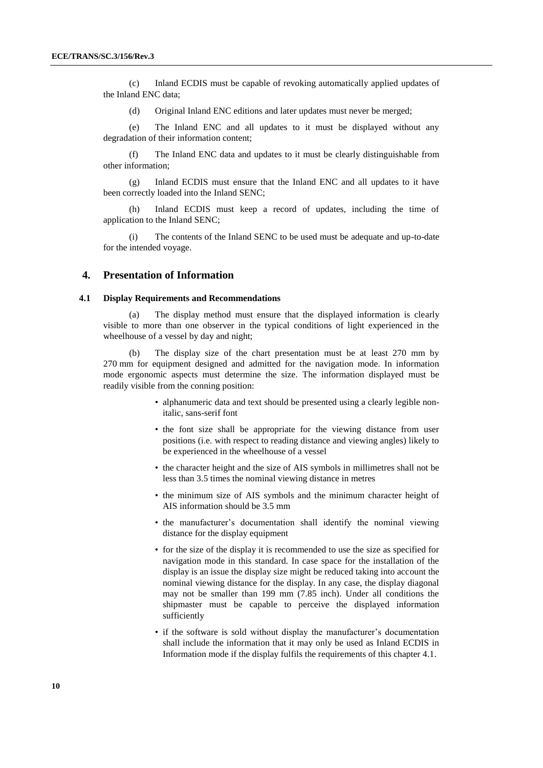(c) Inland ECDIS must be capable of revoking automatically applied updates of the Inland ENC data;

(d) Original Inland ENC editions and later updates must never be merged;

(e) The Inland ENC and all updates to it must be displayed without any degradation of their information content;

(f) The Inland ENC data and updates to it must be clearly distinguishable from other information;

(g) Inland ECDIS must ensure that the Inland ENC and all updates to it have been correctly loaded into the Inland SENC;

(h) Inland ECDIS must keep a record of updates, including the time of application to the Inland SENC;

(i) The contents of the Inland SENC to be used must be adequate and up-to-date for the intended voyage.

# **4. Presentation of Information**

#### **4.1 Display Requirements and Recommendations**

(a) The display method must ensure that the displayed information is clearly visible to more than one observer in the typical conditions of light experienced in the wheelhouse of a vessel by day and night;

(b) The display size of the chart presentation must be at least 270 mm by 270 mm for equipment designed and admitted for the navigation mode. In information mode ergonomic aspects must determine the size. The information displayed must be readily visible from the conning position:

- alphanumeric data and text should be presented using a clearly legible nonitalic, sans-serif font
- the font size shall be appropriate for the viewing distance from user positions (i.e. with respect to reading distance and viewing angles) likely to be experienced in the wheelhouse of a vessel
- the character height and the size of AIS symbols in millimetres shall not be less than 3.5 times the nominal viewing distance in metres
- the minimum size of AIS symbols and the minimum character height of AIS information should be 3.5 mm
- the manufacturer's documentation shall identify the nominal viewing distance for the display equipment
- for the size of the display it is recommended to use the size as specified for navigation mode in this standard. In case space for the installation of the display is an issue the display size might be reduced taking into account the nominal viewing distance for the display. In any case, the display diagonal may not be smaller than 199 mm (7.85 inch). Under all conditions the shipmaster must be capable to perceive the displayed information sufficiently
- if the software is sold without display the manufacturer's documentation shall include the information that it may only be used as Inland ECDIS in Information mode if the display fulfils the requirements of this chapter 4.1.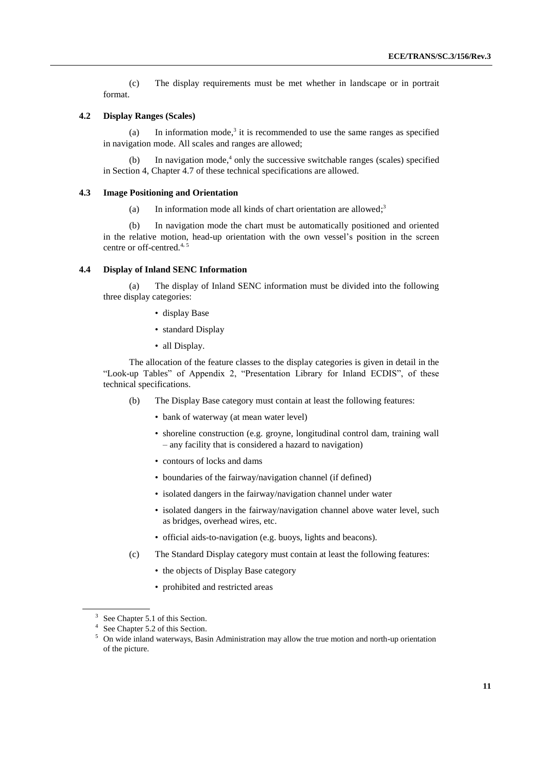(c) The display requirements must be met whether in landscape or in portrait format.

#### **4.2 Display Ranges (Scales)**

(a) In information mode,<sup>3</sup> it is recommended to use the same ranges as specified in navigation mode. All scales and ranges are allowed;

(b) In navigation mode, 4 only the successive switchable ranges (scales) specified in Section 4, Chapter 4.7 of these technical specifications are allowed.

#### **4.3 Image Positioning and Orientation**

<span id="page-10-0"></span>(a) In information mode all kinds of chart orientation are allowed; $3$ 

(b) In navigation mode the chart must be automatically positioned and oriented in the relative motion, head-up orientation with the own vessel's position in the screen centre or off-centred[.](#page-10-0)<sup>4</sup>, <sup>5</sup>

#### **4.4 Display of Inland SENC Information**

(a) The display of Inland SENC information must be divided into the following three display categories:

- display Base
- standard Display
- all Display.

The allocation of the feature classes to the display categories is given in detail in the "Look-up Tables" of Appendix 2, "Presentation Library for Inland ECDIS", of these technical specifications.

- (b) The Display Base category must contain at least the following features:
	- bank of waterway (at mean water level)
	- shoreline construction (e.g. groyne, longitudinal control dam, training wall – any facility that is considered a hazard to navigation)
	- contours of locks and dams
	- boundaries of the fairway/navigation channel (if defined)
	- isolated dangers in the fairway/navigation channel under water
	- isolated dangers in the fairway/navigation channel above water level, such as bridges, overhead wires, etc.
	- official aids-to-navigation (e.g. buoys, lights and beacons).
- (c) The Standard Display category must contain at least the following features:
	- the objects of Display Base category
	- prohibited and restricted areas

<sup>&</sup>lt;sup>3</sup> See Chapter 5.1 of this Section.

<sup>&</sup>lt;sup>4</sup> See Chapter 5.2 of this Section.

<sup>&</sup>lt;sup>5</sup> On wide inland waterways, Basin Administration may allow the true motion and north-up orientation of the picture.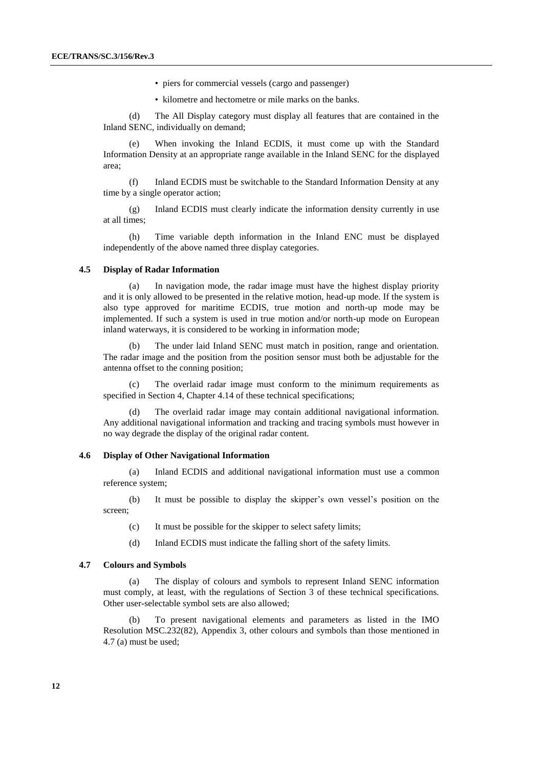- piers for commercial vessels (cargo and passenger)
- kilometre and hectometre or mile marks on the banks.

(d) The All Display category must display all features that are contained in the Inland SENC, individually on demand;

(e) When invoking the Inland ECDIS, it must come up with the Standard Information Density at an appropriate range available in the Inland SENC for the displayed area;

(f) Inland ECDIS must be switchable to the Standard Information Density at any time by a single operator action;

(g) Inland ECDIS must clearly indicate the information density currently in use at all times;

(h) Time variable depth information in the Inland ENC must be displayed independently of the above named three display categories.

#### **4.5 Display of Radar Information**

(a) In navigation mode, the radar image must have the highest display priority and it is only allowed to be presented in the relative motion, head-up mode. If the system is also type approved for maritime ECDIS, true motion and north-up mode may be implemented. If such a system is used in true motion and/or north-up mode on European inland waterways, it is considered to be working in information mode;

The under laid Inland SENC must match in position, range and orientation. The radar image and the position from the position sensor must both be adjustable for the antenna offset to the conning position;

(c) The overlaid radar image must conform to the minimum requirements as specified in Section 4, Chapter 4.14 of these technical specifications;

(d) The overlaid radar image may contain additional navigational information. Any additional navigational information and tracking and tracing symbols must however in no way degrade the display of the original radar content.

### **4.6 Display of Other Navigational Information**

(a) Inland ECDIS and additional navigational information must use a common reference system;

(b) It must be possible to display the skipper's own vessel's position on the screen;

- (c) It must be possible for the skipper to select safety limits;
- (d) Inland ECDIS must indicate the falling short of the safety limits.

#### **4.7 Colours and Symbols**

(a) The display of colours and symbols to represent Inland SENC information must comply, at least, with the regulations of Section 3 of these technical specifications. Other user-selectable symbol sets are also allowed;

(b) To present navigational elements and parameters as listed in the IMO Resolution MSC.232(82), Appendix 3, other colours and symbols than those mentioned in 4.7 (a) must be used;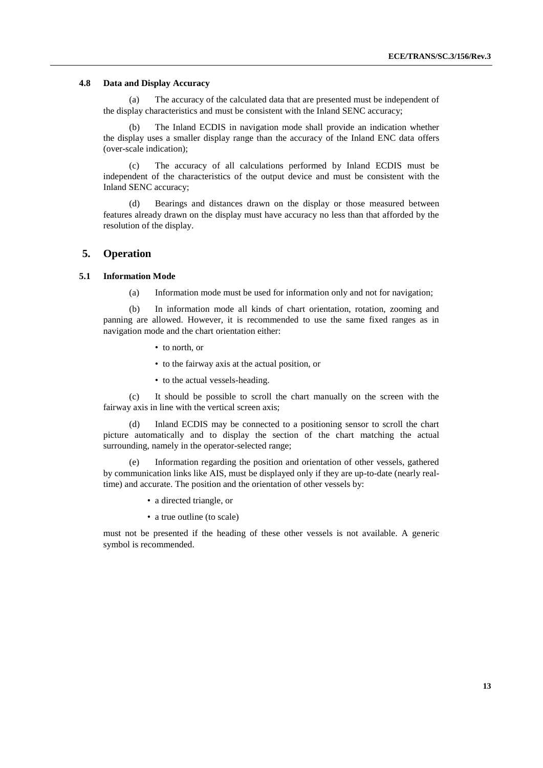#### **4.8 Data and Display Accuracy**

(a) The accuracy of the calculated data that are presented must be independent of the display characteristics and must be consistent with the Inland SENC accuracy;

(b) The Inland ECDIS in navigation mode shall provide an indication whether the display uses a smaller display range than the accuracy of the Inland ENC data offers (over-scale indication);

(c) The accuracy of all calculations performed by Inland ECDIS must be independent of the characteristics of the output device and must be consistent with the Inland SENC accuracy;

(d) Bearings and distances drawn on the display or those measured between features already drawn on the display must have accuracy no less than that afforded by the resolution of the display.

#### **5. Operation**

#### **5.1 Information Mode**

(a) Information mode must be used for information only and not for navigation;

(b) In information mode all kinds of chart orientation, rotation, zooming and panning are allowed. However, it is recommended to use the same fixed ranges as in navigation mode and the chart orientation either:

- to north, or
- to the fairway axis at the actual position, or
- to the actual vessels-heading.

(c) It should be possible to scroll the chart manually on the screen with the fairway axis in line with the vertical screen axis;

(d) Inland ECDIS may be connected to a positioning sensor to scroll the chart picture automatically and to display the section of the chart matching the actual surrounding, namely in the operator-selected range;

(e) Information regarding the position and orientation of other vessels, gathered by communication links like AIS, must be displayed only if they are up-to-date (nearly realtime) and accurate. The position and the orientation of other vessels by:

- a directed triangle, or
- a true outline (to scale)

must not be presented if the heading of these other vessels is not available. A generic symbol is recommended.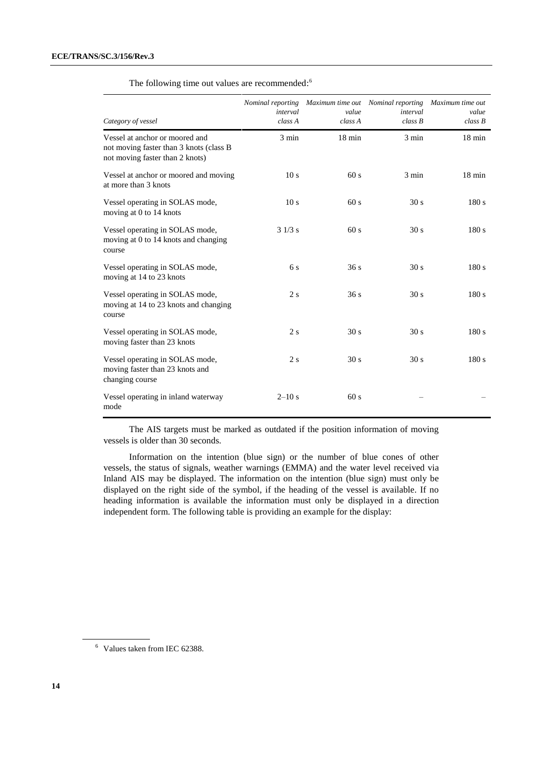| Category of vessel                                                                                           | Nominal reporting<br>interval<br>class A | Maximum time out<br>value<br>class A | Nominal reporting<br>interval<br>class B | Maximum time out<br>value<br>class B |
|--------------------------------------------------------------------------------------------------------------|------------------------------------------|--------------------------------------|------------------------------------------|--------------------------------------|
| Vessel at anchor or moored and<br>not moving faster than 3 knots (class B<br>not moving faster than 2 knots) | $3 \text{ min}$                          | $18 \text{ min}$                     | $3 \text{ min}$                          | $18 \text{ min}$                     |
| Vessel at anchor or moored and moving<br>at more than 3 knots                                                | 10 <sub>s</sub>                          | 60s                                  | $3 \text{ min}$                          | $18 \text{ min}$                     |
| Vessel operating in SOLAS mode,<br>moving at 0 to 14 knots                                                   | 10 <sub>s</sub>                          | 60s                                  | 30 s                                     | 180s                                 |
| Vessel operating in SOLAS mode,<br>moving at 0 to 14 knots and changing<br>course                            | 31/3 s                                   | 60s                                  | 30 <sub>s</sub>                          | 180s                                 |
| Vessel operating in SOLAS mode,<br>moving at 14 to 23 knots                                                  | 6 s                                      | 36s                                  | 30 s                                     | 180 s                                |
| Vessel operating in SOLAS mode,<br>moving at 14 to 23 knots and changing<br>course                           | 2s                                       | 36s                                  | 30 <sub>s</sub>                          | 180 s                                |
| Vessel operating in SOLAS mode,<br>moving faster than 23 knots                                               | 2s                                       | 30 <sub>s</sub>                      | 30 <sub>s</sub>                          | 180 s                                |
| Vessel operating in SOLAS mode,<br>moving faster than 23 knots and<br>changing course                        | 2s                                       | 30 <sub>s</sub>                      | 30 <sub>s</sub>                          | 180s                                 |
| Vessel operating in inland waterway<br>mode                                                                  | $2 - 10s$                                | 60s                                  |                                          |                                      |

The following time out values are recommended:<sup>6</sup>

The AIS targets must be marked as outdated if the position information of moving vessels is older than 30 seconds.

Information on the intention (blue sign) or the number of blue cones of other vessels, the status of signals, weather warnings (EMMA) and the water level received via Inland AIS may be displayed. The information on the intention (blue sign) must only be displayed on the right side of the symbol, if the heading of the vessel is available. If no heading information is available the information must only be displayed in a direction independent form. The following table is providing an example for the display:

<sup>6</sup> Values taken from IEC 62388.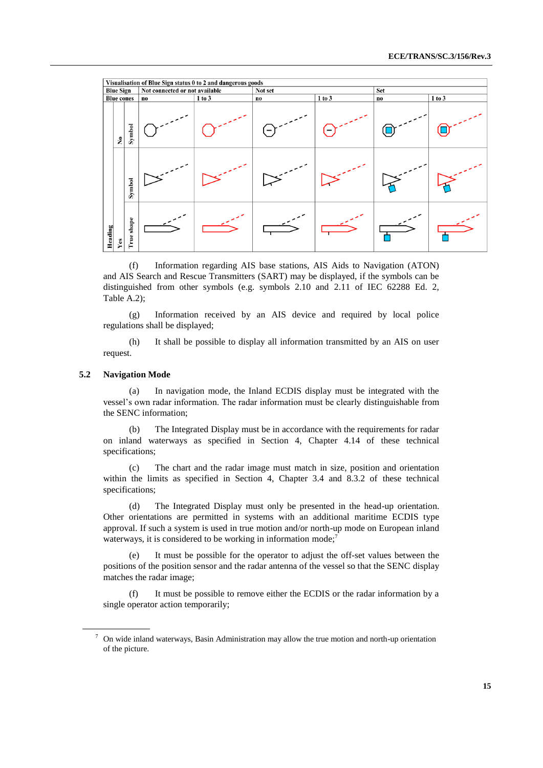|         | Visualisation of Blue Sign status 0 to 2 and dangerous goods |               |                                |        |         |        |     |        |
|---------|--------------------------------------------------------------|---------------|--------------------------------|--------|---------|--------|-----|--------|
|         | <b>Blue Sign</b>                                             |               | Not connected or not available |        | Not set |        | Set |        |
|         | <b>Blue cones</b>                                            |               | no                             | 1 to 3 | no      | 1 to 3 | no  | 1 to 3 |
|         | $\tilde{\mathbf{z}}$                                         | Symbol        |                                |        |         |        |     |        |
|         |                                                              | Symbol        |                                |        |         |        |     |        |
| Heading | Yes                                                          | shape<br>True |                                |        |         |        |     |        |

(f) Information regarding AIS base stations, AIS Aids to Navigation (ATON) and AIS Search and Rescue Transmitters (SART) may be displayed, if the symbols can be distinguished from other symbols (e.g. symbols 2.10 and 2.11 of IEC 62288 Ed. 2, Table A.2);

(g) Information received by an AIS device and required by local police regulations shall be displayed;

(h) It shall be possible to display all information transmitted by an AIS on user request.

#### **5.2 Navigation Mode**

(a) In navigation mode, the Inland ECDIS display must be integrated with the vessel's own radar information. The radar information must be clearly distinguishable from the SENC information;

(b) The Integrated Display must be in accordance with the requirements for radar on inland waterways as specified in Section 4, Chapter 4.14 of these technical specifications;

(c) The chart and the radar image must match in size, position and orientation within the limits as specified in Section 4, Chapter 3.4 and 8.3.2 of these technical specifications;

(d) The Integrated Display must only be presented in the head-up orientation. Other orientations are permitted in systems with an additional maritime ECDIS type approval. If such a system is used in true motion and/or north-up mode on European inland waterways, it is considered to be working in information mode;<sup>7</sup>

It must be possible for the operator to adjust the off-set values between the positions of the position sensor and the radar antenna of the vessel so that the SENC display matches the radar image;

(f) It must be possible to remove either the ECDIS or the radar information by a single operator action temporarily;

 $7$  On wide inland waterways, Basin Administration may allow the true motion and north-up orientation of the picture.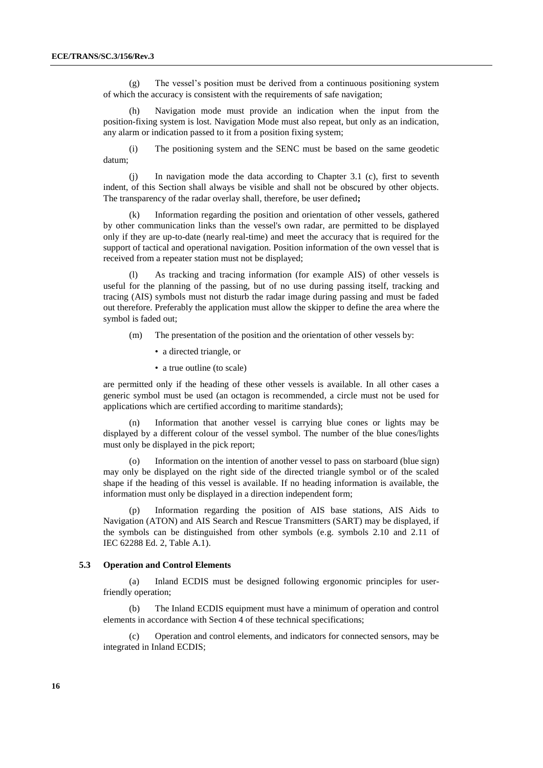(g) The vessel's position must be derived from a continuous positioning system of which the accuracy is consistent with the requirements of safe navigation;

(h) Navigation mode must provide an indication when the input from the position-fixing system is lost. Navigation Mode must also repeat, but only as an indication, any alarm or indication passed to it from a position fixing system;

(i) The positioning system and the SENC must be based on the same geodetic datum;

(j) In navigation mode the data according to Chapter 3.1 (c), first to seventh indent, of this Section shall always be visible and shall not be obscured by other objects. The transparency of the radar overlay shall, therefore, be user defined**;**

Information regarding the position and orientation of other vessels, gathered by other communication links than the vessel's own radar, are permitted to be displayed only if they are up-to-date (nearly real-time) and meet the accuracy that is required for the support of tactical and operational navigation. Position information of the own vessel that is received from a repeater station must not be displayed;

(l) As tracking and tracing information (for example AIS) of other vessels is useful for the planning of the passing, but of no use during passing itself, tracking and tracing (AIS) symbols must not disturb the radar image during passing and must be faded out therefore. Preferably the application must allow the skipper to define the area where the symbol is faded out;

- (m) The presentation of the position and the orientation of other vessels by:
	- a directed triangle, or
	- a true outline (to scale)

are permitted only if the heading of these other vessels is available. In all other cases a generic symbol must be used (an octagon is recommended, a circle must not be used for applications which are certified according to maritime standards);

(n) Information that another vessel is carrying blue cones or lights may be displayed by a different colour of the vessel symbol. The number of the blue cones/lights must only be displayed in the pick report;

(o) Information on the intention of another vessel to pass on starboard (blue sign) may only be displayed on the right side of the directed triangle symbol or of the scaled shape if the heading of this vessel is available. If no heading information is available, the information must only be displayed in a direction independent form;

(p) Information regarding the position of AIS base stations, AIS Aids to Navigation (ATON) and AIS Search and Rescue Transmitters (SART) may be displayed, if the symbols can be distinguished from other symbols (e.g. symbols 2.10 and 2.11 of IEC 62288 Ed. 2, Table A.1).

#### **5.3 Operation and Control Elements**

(a) Inland ECDIS must be designed following ergonomic principles for userfriendly operation;

The Inland ECDIS equipment must have a minimum of operation and control elements in accordance with Section 4 of these technical specifications;

(c) Operation and control elements, and indicators for connected sensors, may be integrated in Inland ECDIS;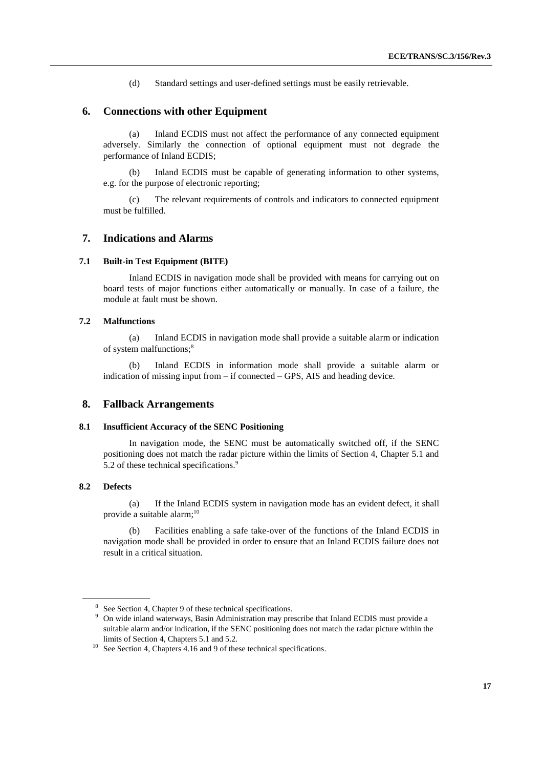(d) Standard settings and user-defined settings must be easily retrievable.

# **6. Connections with other Equipment**

(a) Inland ECDIS must not affect the performance of any connected equipment adversely. Similarly the connection of optional equipment must not degrade the performance of Inland ECDIS;

(b) Inland ECDIS must be capable of generating information to other systems, e.g. for the purpose of electronic reporting;

(c) The relevant requirements of controls and indicators to connected equipment must be fulfilled.

# **7. Indications and Alarms**

#### **7.1 Built-in Test Equipment (BITE)**

Inland ECDIS in navigation mode shall be provided with means for carrying out on board tests of major functions either automatically or manually. In case of a failure, the module at fault must be shown.

#### **7.2 Malfunctions**

(a) Inland ECDIS in navigation mode shall provide a suitable alarm or indication of system malfunctions; 8

(b) Inland ECDIS in information mode shall provide a suitable alarm or indication of missing input from – if connected – GPS, AIS and heading device.

# **8. Fallback Arrangements**

#### **8.1 Insufficient Accuracy of the SENC Positioning**

In navigation mode, the SENC must be automatically switched off, if the SENC positioning does not match the radar picture within the limits of Section 4, Chapter 5.1 and 5.2 of these technical specifications.<sup>9</sup>

### **8.2 Defects**

(a) If the Inland ECDIS system in navigation mode has an evident defect, it shall provide a suitable alarm; 10

(b) Facilities enabling a safe take-over of the functions of the Inland ECDIS in navigation mode shall be provided in order to ensure that an Inland ECDIS failure does not result in a critical situation.

<sup>&</sup>lt;sup>8</sup> See Section 4, Chapter 9 of these technical specifications.

<sup>&</sup>lt;sup>9</sup> On wide inland waterways, Basin Administration may prescribe that Inland ECDIS must provide a suitable alarm and/or indication, if the SENC positioning does not match the radar picture within the limits of Section 4, Chapters 5.1 and 5.2.

<sup>&</sup>lt;sup>10</sup> See Section 4, Chapters 4.16 and 9 of these technical specifications.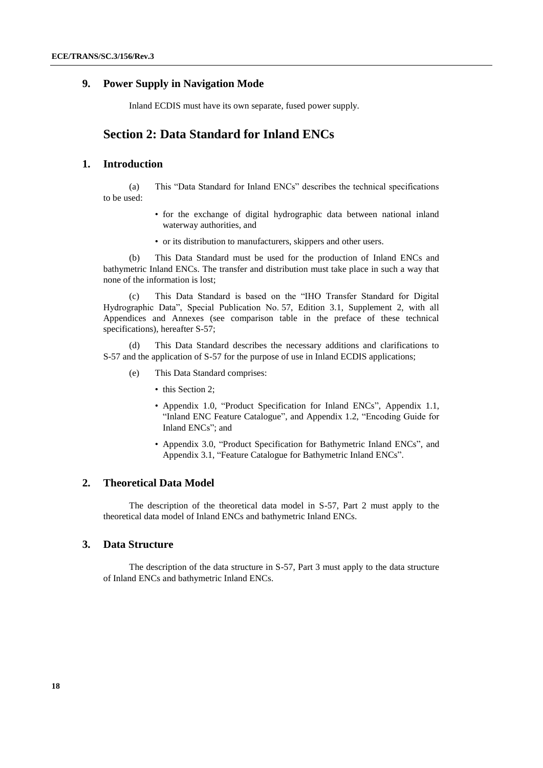# **9. Power Supply in Navigation Mode**

Inland ECDIS must have its own separate, fused power supply.

# **Section 2: Data Standard for Inland ENCs**

# **1. Introduction**

(a) This "Data Standard for Inland ENCs" describes the technical specifications to be used:

- for the exchange of digital hydrographic data between national inland waterway authorities, and
- or its distribution to manufacturers, skippers and other users.

(b) This Data Standard must be used for the production of Inland ENCs and bathymetric Inland ENCs. The transfer and distribution must take place in such a way that none of the information is lost;

(c) This Data Standard is based on the "IHO Transfer Standard for Digital Hydrographic Data", Special Publication No. 57, Edition 3.1, Supplement 2, with all Appendices and Annexes (see comparison table in the preface of these technical specifications), hereafter S-57;

(d) This Data Standard describes the necessary additions and clarifications to S-57 and the application of S-57 for the purpose of use in Inland ECDIS applications;

- (e) This Data Standard comprises:
	- this Section 2:
	- Appendix 1.0, "Product Specification for Inland ENCs", Appendix 1.1, "Inland ENC Feature Catalogue", and Appendix 1.2, "Encoding Guide for Inland ENCs"; and
	- Appendix 3.0, "Product Specification for Bathymetric Inland ENCs", and Appendix 3.1, "Feature Catalogue for Bathymetric Inland ENCs".

# **2. Theoretical Data Model**

The description of the theoretical data model in S-57, Part 2 must apply to the theoretical data model of Inland ENCs and bathymetric Inland ENCs.

# **3. Data Structure**

The description of the data structure in S-57, Part 3 must apply to the data structure of Inland ENCs and bathymetric Inland ENCs.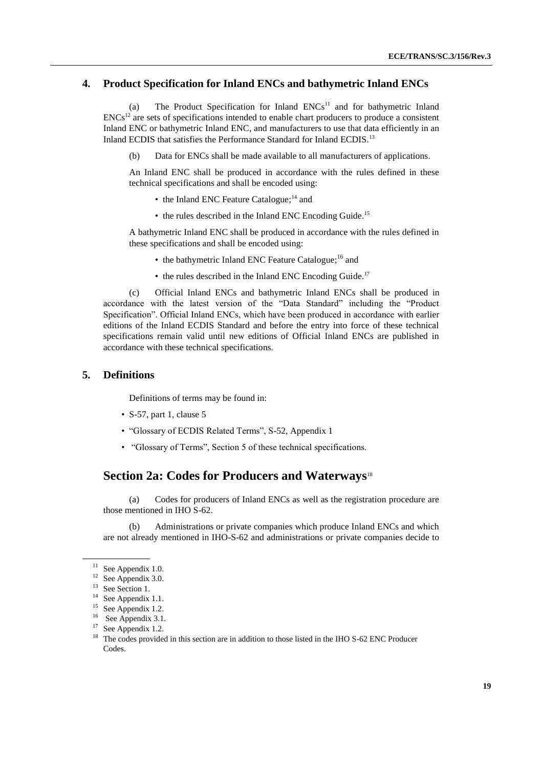# **4. Product Specification for Inland ENCs and bathymetric Inland ENCs**

(a) The Product Specification for Inland  $ENCs<sup>11</sup>$  and for bathymetric Inland  $ENCs<sup>12</sup>$  are sets of specifications intended to enable chart producers to produce a consistent Inland ENC or bathymetric Inland ENC, and manufacturers to use that data efficiently in an Inland ECDIS that satisfies the Performance Standard for Inland ECDIS.<sup>13</sup>

(b) Data for ENCs shall be made available to all manufacturers of applications.

An Inland ENC shall be produced in accordance with the rules defined in these technical specifications and shall be encoded using:

- the Inland ENC Feature Catalogue;<sup>14</sup> and
- the rules described in the Inland ENC Encoding Guide.<sup>15</sup>

A bathymetric Inland ENC shall be produced in accordance with the rules defined in these specifications and shall be encoded using:

- the bathymetric Inland ENC Feature Catalogue;<sup>16</sup> and
- the rules described in the Inland ENC Encoding Guide.<sup>17</sup>

(c) Official Inland ENCs and bathymetric Inland ENCs shall be produced in accordance with the latest version of the "Data Standard" including the "Product Specification". Official Inland ENCs, which have been produced in accordance with earlier editions of the Inland ECDIS Standard and before the entry into force of these technical specifications remain valid until new editions of Official Inland ENCs are published in accordance with these technical specifications.

# **5. Definitions**

Definitions of terms may be found in:

- S-57, part 1, clause 5
- "Glossary of ECDIS Related Terms", S-52, Appendix 1
- "Glossary of Terms", Section 5 of these technical specifications.

# **Section 2a: Codes for Producers and Waterways**<sup>18</sup>

(a) Codes for producers of Inland ENCs as well as the registration procedure are those mentioned in IHO S-62.

Administrations or private companies which produce Inland ENCs and which are not already mentioned in IHO-S-62 and administrations or private companies decide to

<sup>&</sup>lt;sup>11</sup> See Appendix 1.0.

 $12$  See Appendix 3.0.

<sup>&</sup>lt;sup>13</sup> See Section 1.

<sup>14</sup> See Appendix 1.1.

<sup>&</sup>lt;sup>15</sup> See Appendix 1.2.

<sup>&</sup>lt;sup>16</sup> See Appendix 3.1.

<sup>&</sup>lt;sup>17</sup> See Appendix 1.2.

<sup>&</sup>lt;sup>18</sup> The codes provided in this section are in addition to those listed in the IHO S-62 ENC Producer Codes.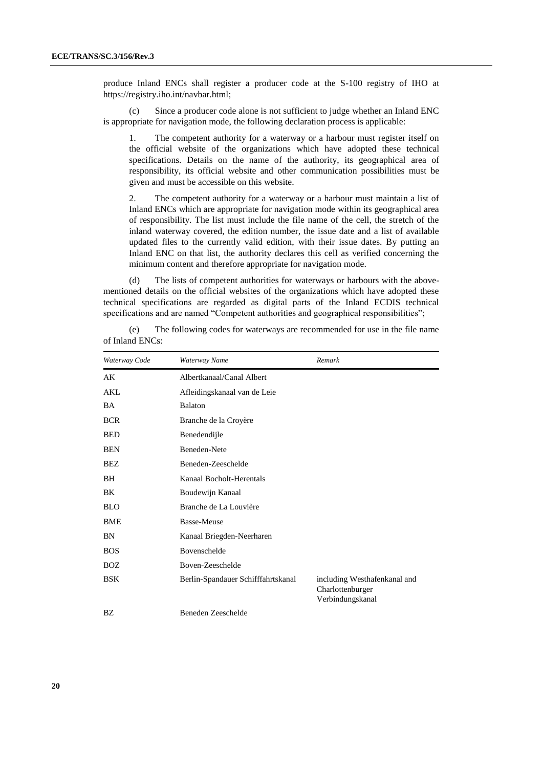produce Inland ENCs shall register a producer code at the S-100 registry of IHO at https://registry.iho.int/navbar.html;

(c) Since a producer code alone is not sufficient to judge whether an Inland ENC is appropriate for navigation mode, the following declaration process is applicable:

1. The competent authority for a waterway or a harbour must register itself on the official website of the organizations which have adopted these technical specifications. Details on the name of the authority, its geographical area of responsibility, its official website and other communication possibilities must be given and must be accessible on this website.

2. The competent authority for a waterway or a harbour must maintain a list of Inland ENCs which are appropriate for navigation mode within its geographical area of responsibility. The list must include the file name of the cell, the stretch of the inland waterway covered, the edition number, the issue date and a list of available updated files to the currently valid edition, with their issue dates. By putting an Inland ENC on that list, the authority declares this cell as verified concerning the minimum content and therefore appropriate for navigation mode.

(d) The lists of competent authorities for waterways or harbours with the abovementioned details on the official websites of the organizations which have adopted these technical specifications are regarded as digital parts of the Inland ECDIS technical specifications and are named "Competent authorities and geographical responsibilities";

| Waterway Code | Waterway Name                      | Remark                                                               |
|---------------|------------------------------------|----------------------------------------------------------------------|
| АK            | Albertkanaal/Canal Albert          |                                                                      |
| AKL           | Afleidingskanaal van de Leie       |                                                                      |
| BA            | <b>Balaton</b>                     |                                                                      |
| <b>BCR</b>    | Branche de la Croyère              |                                                                      |
| <b>BED</b>    | Benedendijle                       |                                                                      |
| <b>BEN</b>    | Beneden-Nete                       |                                                                      |
| BEZ           | Beneden-Zeeschelde                 |                                                                      |
| BH            | Kanaal Bocholt-Herentals           |                                                                      |
| BK            | Boudewijn Kanaal                   |                                                                      |
| <b>BLO</b>    | Branche de La Louvière             |                                                                      |
| <b>BME</b>    | <b>Basse-Meuse</b>                 |                                                                      |
| BN            | Kanaal Briegden-Neerharen          |                                                                      |
| <b>BOS</b>    | Bovenschelde                       |                                                                      |
| <b>BOZ</b>    | Boven-Zeeschelde                   |                                                                      |
| <b>BSK</b>    | Berlin-Spandauer Schifffahrtskanal | including Westhafenkanal and<br>Charlottenburger<br>Verbindungskanal |
| BΖ            | Beneden Zeeschelde                 |                                                                      |

(e) The following codes for waterways are recommended for use in the file name of Inland ENCs: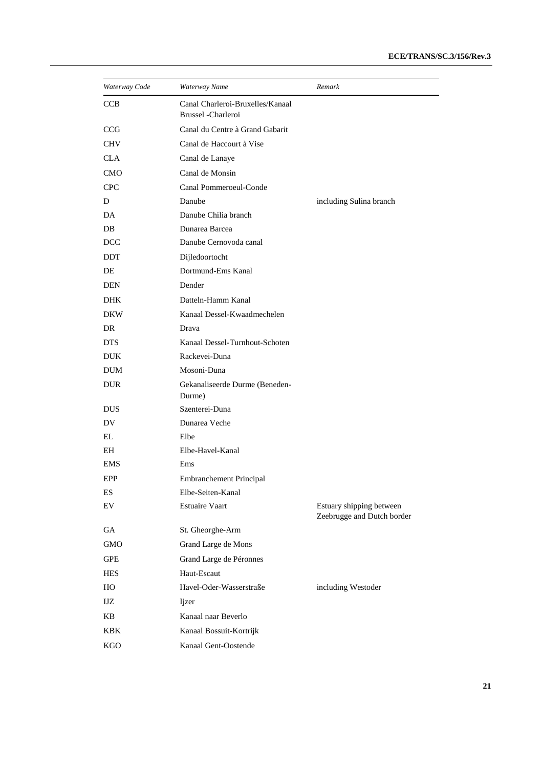| Waterway Code | Waterway Name                                          | Remark                                                 |
|---------------|--------------------------------------------------------|--------------------------------------------------------|
| <b>CCB</b>    | Canal Charleroi-Bruxelles/Kanaal<br>Brussel -Charleroi |                                                        |
| <b>CCG</b>    | Canal du Centre à Grand Gabarit                        |                                                        |
| <b>CHV</b>    | Canal de Haccourt à Vise                               |                                                        |
| <b>CLA</b>    | Canal de Lanaye                                        |                                                        |
| <b>CMO</b>    | Canal de Monsin                                        |                                                        |
| <b>CPC</b>    | Canal Pommeroeul-Conde                                 |                                                        |
| D             | Danube                                                 | including Sulina branch                                |
| DA            | Danube Chilia branch                                   |                                                        |
| DB            | Dunarea Barcea                                         |                                                        |
| <b>DCC</b>    | Danube Cernovoda canal                                 |                                                        |
| <b>DDT</b>    | Dijledoortocht                                         |                                                        |
| DE            | Dortmund-Ems Kanal                                     |                                                        |
| <b>DEN</b>    | Dender                                                 |                                                        |
| <b>DHK</b>    | Datteln-Hamm Kanal                                     |                                                        |
| <b>DKW</b>    | Kanaal Dessel-Kwaadmechelen                            |                                                        |
| DR            | Drava                                                  |                                                        |
| <b>DTS</b>    | Kanaal Dessel-Turnhout-Schoten                         |                                                        |
| <b>DUK</b>    | Rackevei-Duna                                          |                                                        |
| <b>DUM</b>    | Mosoni-Duna                                            |                                                        |
| <b>DUR</b>    | Gekanaliseerde Durme (Beneden-<br>Durme)               |                                                        |
| <b>DUS</b>    | Szenterei-Duna                                         |                                                        |
| DV.           | Dunarea Veche                                          |                                                        |
| EL            | Elbe                                                   |                                                        |
| EН            | Elbe-Havel-Kanal                                       |                                                        |
| EMS           | Ems                                                    |                                                        |
| EPP           | <b>Embranchement Principal</b>                         |                                                        |
| ES            | Elbe-Seiten-Kanal                                      |                                                        |
| EV            | <b>Estuaire Vaart</b>                                  | Estuary shipping between<br>Zeebrugge and Dutch border |
| GA            | St. Gheorghe-Arm                                       |                                                        |
| <b>GMO</b>    | Grand Large de Mons                                    |                                                        |
| <b>GPE</b>    | Grand Large de Péronnes                                |                                                        |
| <b>HES</b>    | Haut-Escaut                                            |                                                        |
| HO            | Havel-Oder-Wasserstraße                                | including Westoder                                     |
| $IIZ$         | Ijzer                                                  |                                                        |
| KB            | Kanaal naar Beverlo                                    |                                                        |
| KBK           | Kanaal Bossuit-Kortrijk                                |                                                        |
| KGO           | Kanaal Gent-Oostende                                   |                                                        |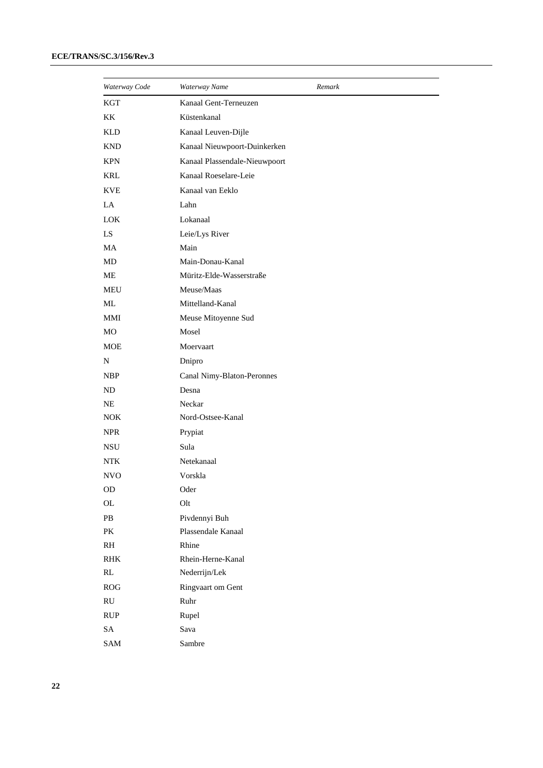| Waterway Code           | Waterway Name                 | Remark |
|-------------------------|-------------------------------|--------|
| <b>KGT</b>              | Kanaal Gent-Terneuzen         |        |
| KK                      | Küstenkanal                   |        |
| <b>KLD</b>              | Kanaal Leuven-Dijle           |        |
| <b>KND</b>              | Kanaal Nieuwpoort-Duinkerken  |        |
| <b>KPN</b>              | Kanaal Plassendale-Nieuwpoort |        |
| KRL                     | Kanaal Roeselare-Leie         |        |
| <b>KVE</b>              | Kanaal van Eeklo              |        |
| LA                      | Lahn                          |        |
| $_{\rm{LOK}}$           | Lokanaal                      |        |
| LS                      | Leie/Lys River                |        |
| MA                      | Main                          |        |
| MD                      | Main-Donau-Kanal              |        |
| ME                      | Müritz-Elde-Wasserstraße      |        |
| MEU                     | Meuse/Maas                    |        |
| ML                      | Mittelland-Kanal              |        |
| MMI                     | Meuse Mitoyenne Sud           |        |
| MO                      | Mosel                         |        |
| <b>MOE</b>              | Moervaart                     |        |
| N                       | Dnipro                        |        |
| <b>NBP</b>              | Canal Nimy-Blaton-Peronnes    |        |
| ND                      | Desna                         |        |
| NE                      | Neckar                        |        |
| <b>NOK</b>              | Nord-Ostsee-Kanal             |        |
| <b>NPR</b>              | Prypiat                       |        |
| NSU                     | Sula                          |        |
| <b>NTK</b>              | Netekanaal                    |        |
| <b>NVO</b>              | Vorskla                       |        |
| OD                      | Oder                          |        |
| $\mathbf{OL}% _{T}$     | Olt                           |        |
| PB                      | Pivdennyi Buh                 |        |
| PK                      | Plassendale Kanaal            |        |
| $\mathbb{R} \mathbb{H}$ | Rhine                         |        |
| RHK                     | Rhein-Herne-Kanal             |        |
| $\mathbf{RL}$           | Nederrijn/Lek                 |        |
| ROG                     | Ringvaart om Gent             |        |
| $\mathbf{R}\mathbf{U}$  | Ruhr                          |        |
| RUP                     | Rupel                         |        |
| ${\rm SA}$              | Sava                          |        |
| $\mbox{SAM}$            | Sambre                        |        |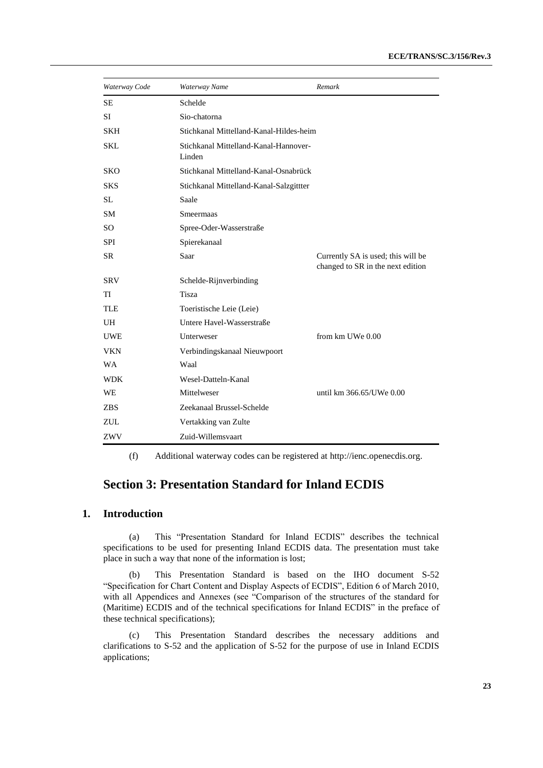| Waterway Code | Waterway Name                                   | Remark                                                                  |
|---------------|-------------------------------------------------|-------------------------------------------------------------------------|
| <b>SE</b>     | Schelde                                         |                                                                         |
| <b>SI</b>     | Sio-chatorna                                    |                                                                         |
| <b>SKH</b>    | Stichkanal Mittelland-Kanal-Hildes-heim         |                                                                         |
| <b>SKL</b>    | Stichkanal Mittelland-Kanal-Hannover-<br>Linden |                                                                         |
| <b>SKO</b>    | Stichkanal Mittelland-Kanal-Osnabrück           |                                                                         |
| <b>SKS</b>    | Stichkanal Mittelland-Kanal-Salzgittter         |                                                                         |
| <b>SL</b>     | Saale                                           |                                                                         |
| <b>SM</b>     | <b>Smeermaas</b>                                |                                                                         |
| <b>SO</b>     | Spree-Oder-Wasserstraße                         |                                                                         |
| <b>SPI</b>    | Spierekanaal                                    |                                                                         |
| <b>SR</b>     | Saar                                            | Currently SA is used; this will be<br>changed to SR in the next edition |
| <b>SRV</b>    | Schelde-Rijnverbinding                          |                                                                         |
| TI            | <b>Tisza</b>                                    |                                                                         |
| <b>TLE</b>    | Toeristische Leie (Leie)                        |                                                                         |
| UH            | Untere Havel-Wasserstraße                       |                                                                         |
| <b>UWE</b>    | Unterweser                                      | from km UWe 0.00                                                        |
| <b>VKN</b>    | Verbindingskanaal Nieuwpoort                    |                                                                         |
| <b>WA</b>     | Waal                                            |                                                                         |
| <b>WDK</b>    | Wesel-Datteln-Kanal                             |                                                                         |
| WE            | Mittelweser                                     | until km 366.65/UWe 0.00                                                |
| <b>ZBS</b>    | Zeekanaal Brussel-Schelde                       |                                                                         |
| ZUL           | Vertakking van Zulte                            |                                                                         |
| ZWV           | Zuid-Willemsvaart                               |                                                                         |

(f) Additional waterway codes can be registered at [http://ienc.openecdis.org.](http://ienc.openecdis.org/)

# **Section 3: Presentation Standard for Inland ECDIS**

# **1. Introduction**

(a) This "Presentation Standard for Inland ECDIS" describes the technical specifications to be used for presenting Inland ECDIS data. The presentation must take place in such a way that none of the information is lost;

(b) This Presentation Standard is based on the IHO document S-52 "Specification for Chart Content and Display Aspects of ECDIS", Edition 6 of March 2010, with all Appendices and Annexes (see "Comparison of the structures of the standard for (Maritime) ECDIS and of the technical specifications for Inland ECDIS" in the preface of these technical specifications);

(c) This Presentation Standard describes the necessary additions and clarifications to S-52 and the application of S-52 for the purpose of use in Inland ECDIS applications;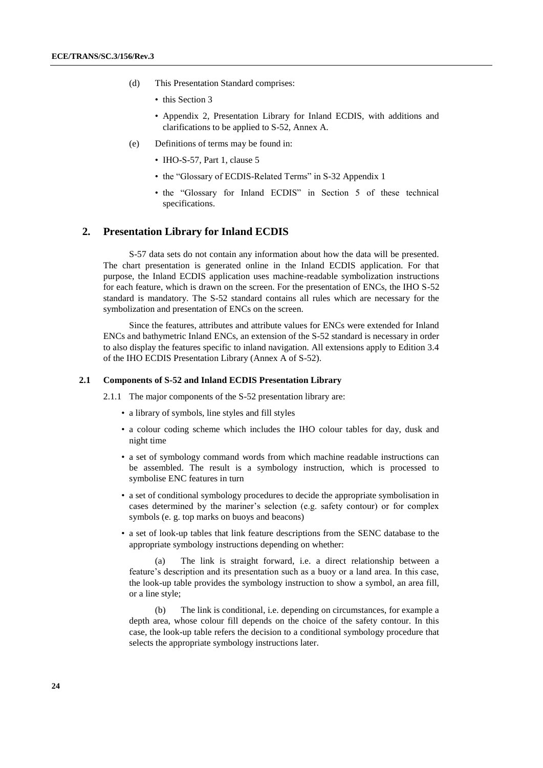- (d) This Presentation Standard comprises:
	- this Section 3
	- Appendix 2, Presentation Library for Inland ECDIS, with additions and clarifications to be applied to S-52, Annex A.
- (e) Definitions of terms may be found in:
	- IHO-S-57, Part 1, clause 5
	- the "Glossary of ECDIS-Related Terms" in S-32 Appendix 1
	- the "Glossary for Inland ECDIS" in Section 5 of these technical specifications.

#### **2. Presentation Library for Inland ECDIS**

S-57 data sets do not contain any information about how the data will be presented. The chart presentation is generated online in the Inland ECDIS application. For that purpose, the Inland ECDIS application uses machine-readable symbolization instructions for each feature, which is drawn on the screen. For the presentation of ENCs, the IHO S-52 standard is mandatory. The S-52 standard contains all rules which are necessary for the symbolization and presentation of ENCs on the screen.

Since the features, attributes and attribute values for ENCs were extended for Inland ENCs and bathymetric Inland ENCs, an extension of the S-52 standard is necessary in order to also display the features specific to inland navigation. All extensions apply to Edition 3.4 of the IHO ECDIS Presentation Library (Annex A of S-52).

#### **2.1 Components of S-52 and Inland ECDIS Presentation Library**

2.1.1 The major components of the S-52 presentation library are:

- a library of symbols, line styles and fill styles
- a colour coding scheme which includes the IHO colour tables for day, dusk and night time
- a set of symbology command words from which machine readable instructions can be assembled. The result is a symbology instruction, which is processed to symbolise ENC features in turn
- a set of conditional symbology procedures to decide the appropriate symbolisation in cases determined by the mariner's selection (e.g. safety contour) or for complex symbols (e. g. top marks on buoys and beacons)
- a set of look-up tables that link feature descriptions from the SENC database to the appropriate symbology instructions depending on whether:

(a) The link is straight forward, i.e. a direct relationship between a feature's description and its presentation such as a buoy or a land area. In this case, the look-up table provides the symbology instruction to show a symbol, an area fill, or a line style;

(b) The link is conditional, i.e. depending on circumstances, for example a depth area, whose colour fill depends on the choice of the safety contour. In this case, the look-up table refers the decision to a conditional symbology procedure that selects the appropriate symbology instructions later.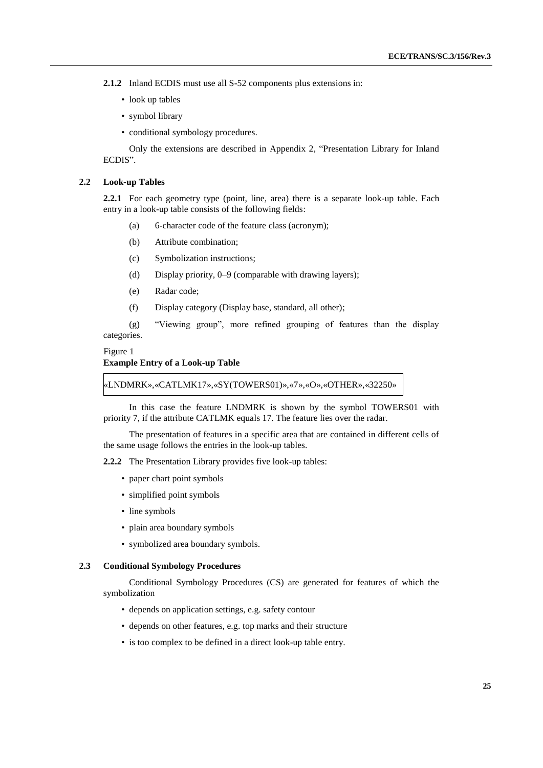**2.1.2** Inland ECDIS must use all S-52 components plus extensions in:

- look up tables
- symbol library
- conditional symbology procedures.

Only the extensions are described in Appendix 2, "Presentation Library for Inland ECDIS".

#### **2.2 Look-up Tables**

**2.2.1** For each geometry type (point, line, area) there is a separate look-up table. Each entry in a look-up table consists of the following fields:

- (a) 6-character code of the feature class (acronym);
- (b) Attribute combination;
- (c) Symbolization instructions;
- (d) Display priority, 0–9 (comparable with drawing layers);
- (e) Radar code;
- (f) Display category (Display base, standard, all other);

(g) "Viewing group", more refined grouping of features than the display categories.

Figure 1

#### **Example Entry of a Look-up Table**

«LNDMRK»,«CATLMK17»,«SY(TOWERS01)»,«7»,«O»,«OTHER»,«32250»

In this case the feature LNDMRK is shown by the symbol TOWERS01 with priority 7, if the attribute CATLMK equals 17. The feature lies over the radar.

The presentation of features in a specific area that are contained in different cells of the same usage follows the entries in the look-up tables.

**2.2.2** The Presentation Library provides five look-up tables:

- paper chart point symbols
- simplified point symbols
- line symbols
- plain area boundary symbols
- symbolized area boundary symbols.

# **2.3 Conditional Symbology Procedures**

Conditional Symbology Procedures (CS) are generated for features of which the symbolization

- depends on application settings, e.g. safety contour
- depends on other features, e.g. top marks and their structure
- is too complex to be defined in a direct look-up table entry.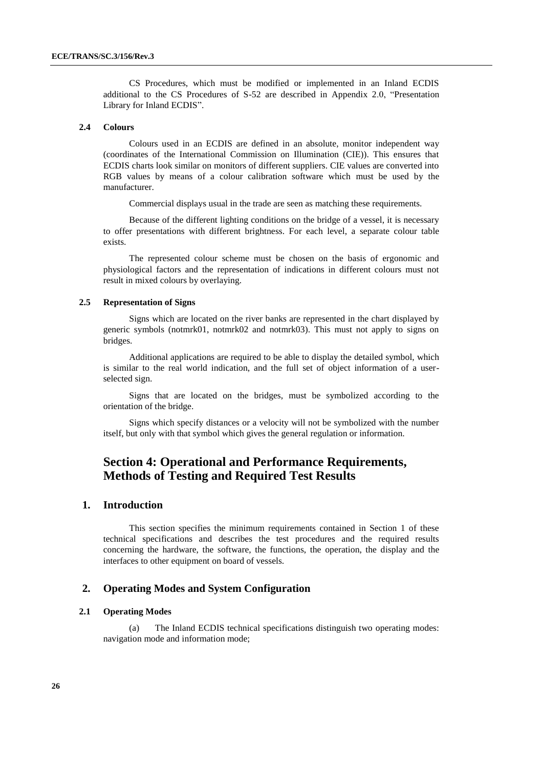CS Procedures, which must be modified or implemented in an Inland ECDIS additional to the CS Procedures of S-52 are described in Appendix 2.0, "Presentation Library for Inland ECDIS".

#### **2.4 Colours**

Colours used in an ECDIS are defined in an absolute, monitor independent way (coordinates of the International Commission on Illumination (CIE)). This ensures that ECDIS charts look similar on monitors of different suppliers. CIE values are converted into RGB values by means of a colour calibration software which must be used by the manufacturer.

Commercial displays usual in the trade are seen as matching these requirements.

Because of the different lighting conditions on the bridge of a vessel, it is necessary to offer presentations with different brightness. For each level, a separate colour table exists.

The represented colour scheme must be chosen on the basis of ergonomic and physiological factors and the representation of indications in different colours must not result in mixed colours by overlaying.

#### **2.5 Representation of Signs**

Signs which are located on the river banks are represented in the chart displayed by generic symbols (notmrk01, notmrk02 and notmrk03). This must not apply to signs on bridges.

Additional applications are required to be able to display the detailed symbol, which is similar to the real world indication, and the full set of object information of a userselected sign.

Signs that are located on the bridges, must be symbolized according to the orientation of the bridge.

Signs which specify distances or a velocity will not be symbolized with the number itself, but only with that symbol which gives the general regulation or information.

# **Section 4: Operational and Performance Requirements, Methods of Testing and Required Test Results**

# **1. Introduction**

This section specifies the minimum requirements contained in Section 1 of these technical specifications and describes the test procedures and the required results concerning the hardware, the software, the functions, the operation, the display and the interfaces to other equipment on board of vessels.

#### **2. Operating Modes and System Configuration**

#### **2.1 Operating Modes**

(a) The Inland ECDIS technical specifications distinguish two operating modes: navigation mode and information mode;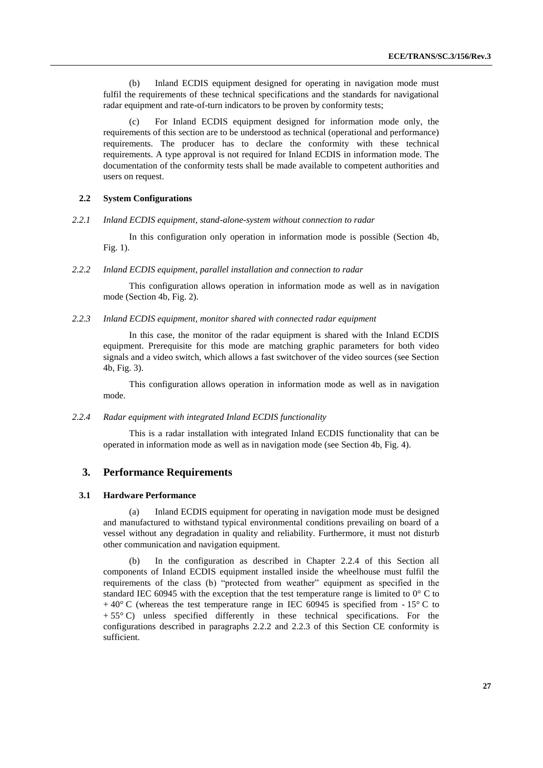(b) Inland ECDIS equipment designed for operating in navigation mode must fulfil the requirements of these technical specifications and the standards for navigational radar equipment and rate-of-turn indicators to be proven by conformity tests;

For Inland ECDIS equipment designed for information mode only, the requirements of this section are to be understood as technical (operational and performance) requirements. The producer has to declare the conformity with these technical requirements. A type approval is not required for Inland ECDIS in information mode. The documentation of the conformity tests shall be made available to competent authorities and users on request.

### **2.2 System Configurations**

*2.2.1 Inland ECDIS equipment, stand-alone-system without connection to radar*

In this configuration only operation in information mode is possible (Section 4b, Fig. 1).

*2.2.2 Inland ECDIS equipment, parallel installation and connection to radar*

This configuration allows operation in information mode as well as in navigation mode (Section 4b, Fig. 2).

#### *2.2.3 Inland ECDIS equipment, monitor shared with connected radar equipment*

In this case, the monitor of the radar equipment is shared with the Inland ECDIS equipment. Prerequisite for this mode are matching graphic parameters for both video signals and a video switch, which allows a fast switchover of the video sources (see Section 4b, Fig. 3).

This configuration allows operation in information mode as well as in navigation mode.

#### *2.2.4 Radar equipment with integrated Inland ECDIS functionality*

This is a radar installation with integrated Inland ECDIS functionality that can be operated in information mode as well as in navigation mode (see Section 4b, Fig. 4).

#### **3. Performance Requirements**

#### **3.1 Hardware Performance**

(a) Inland ECDIS equipment for operating in navigation mode must be designed and manufactured to withstand typical environmental conditions prevailing on board of a vessel without any degradation in quality and reliability. Furthermore, it must not disturb other communication and navigation equipment.

In the configuration as described in Chapter 2.2.4 of this Section all components of Inland ECDIS equipment installed inside the wheelhouse must fulfil the requirements of the class (b) "protected from weather" equipment as specified in the standard IEC 60945 with the exception that the test temperature range is limited to  $0^{\circ}$  C to  $+40^{\circ}$  C (whereas the test temperature range in IEC 60945 is specified from  $-15^{\circ}$  C to  $+ 55^{\circ}$  C) unless specified differently in these technical specifications. For the configurations described in paragraphs 2.2.2 and 2.2.3 of this Section CE conformity is sufficient.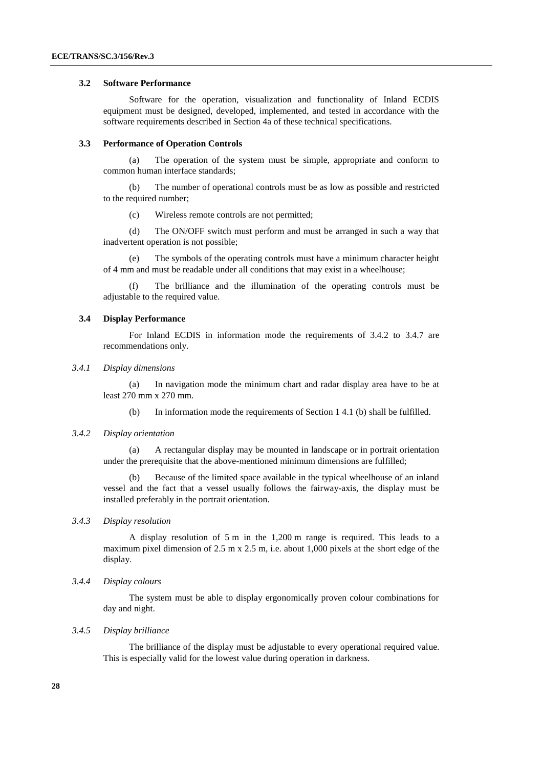#### **3.2 Software Performance**

Software for the operation, visualization and functionality of Inland ECDIS equipment must be designed, developed, implemented, and tested in accordance with the software requirements described in Section 4a of these technical specifications.

#### **3.3 Performance of Operation Controls**

(a) The operation of the system must be simple, appropriate and conform to common human interface standards;

(b) The number of operational controls must be as low as possible and restricted to the required number;

(c) Wireless remote controls are not permitted;

(d) The ON/OFF switch must perform and must be arranged in such a way that inadvertent operation is not possible;

(e) The symbols of the operating controls must have a minimum character height of 4 mm and must be readable under all conditions that may exist in a wheelhouse;

The brilliance and the illumination of the operating controls must be adjustable to the required value.

#### **3.4 Display Performance**

For Inland ECDIS in information mode the requirements of 3.4.2 to 3.4.7 are recommendations only.

#### *3.4.1 Display dimensions*

(a) In navigation mode the minimum chart and radar display area have to be at least 270 mm x 270 mm.

(b) In information mode the requirements of Section 1 4.1 (b) shall be fulfilled.

#### *3.4.2 Display orientation*

(a) A rectangular display may be mounted in landscape or in portrait orientation under the prerequisite that the above-mentioned minimum dimensions are fulfilled;

(b) Because of the limited space available in the typical wheelhouse of an inland vessel and the fact that a vessel usually follows the fairway-axis, the display must be installed preferably in the portrait orientation.

### *3.4.3 Display resolution*

A display resolution of 5 m in the 1,200 m range is required. This leads to a maximum pixel dimension of 2.5 m x 2.5 m, i.e. about 1,000 pixels at the short edge of the display.

#### *3.4.4 Display colours*

The system must be able to display ergonomically proven colour combinations for day and night.

#### *3.4.5 Display brilliance*

The brilliance of the display must be adjustable to every operational required value. This is especially valid for the lowest value during operation in darkness.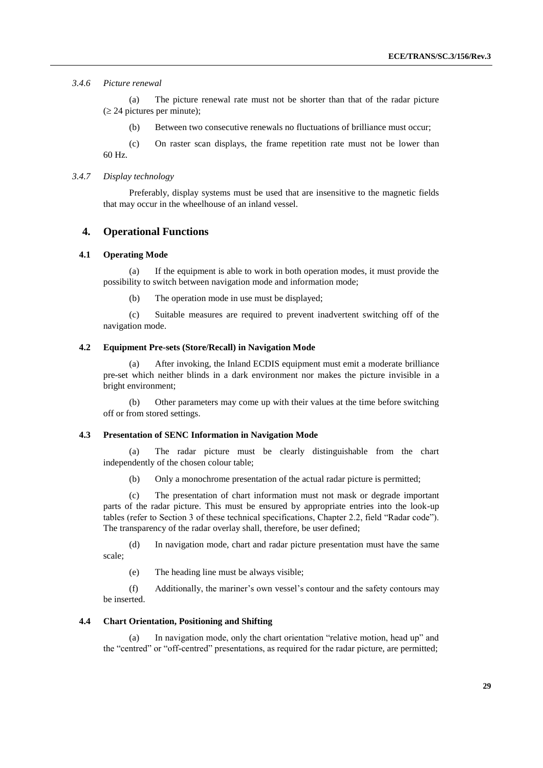#### *3.4.6 Picture renewal*

(a) The picture renewal rate must not be shorter than that of the radar picture  $( \ge 24$  pictures per minute);

(b) Between two consecutive renewals no fluctuations of brilliance must occur;

(c) On raster scan displays, the frame repetition rate must not be lower than 60 Hz.

#### *3.4.7 Display technology*

Preferably, display systems must be used that are insensitive to the magnetic fields that may occur in the wheelhouse of an inland vessel.

### **4. Operational Functions**

#### **4.1 Operating Mode**

(a) If the equipment is able to work in both operation modes, it must provide the possibility to switch between navigation mode and information mode;

(b) The operation mode in use must be displayed;

(c) Suitable measures are required to prevent inadvertent switching off of the navigation mode.

#### **4.2 Equipment Pre-sets (Store/Recall) in Navigation Mode**

(a) After invoking, the Inland ECDIS equipment must emit a moderate brilliance pre-set which neither blinds in a dark environment nor makes the picture invisible in a bright environment;

(b) Other parameters may come up with their values at the time before switching off or from stored settings.

#### **4.3 Presentation of SENC Information in Navigation Mode**

(a) The radar picture must be clearly distinguishable from the chart independently of the chosen colour table;

(b) Only a monochrome presentation of the actual radar picture is permitted;

(c) The presentation of chart information must not mask or degrade important parts of the radar picture. This must be ensured by appropriate entries into the look-up tables (refer to Section 3 of these technical specifications, Chapter 2.2, field "Radar code"). The transparency of the radar overlay shall, therefore, be user defined;

(d) In navigation mode, chart and radar picture presentation must have the same scale;

(e) The heading line must be always visible;

(f) Additionally, the mariner's own vessel's contour and the safety contours may be inserted.

#### **4.4 Chart Orientation, Positioning and Shifting**

(a) In navigation mode, only the chart orientation "relative motion, head up" and the "centred" or "off-centred" presentations, as required for the radar picture, are permitted;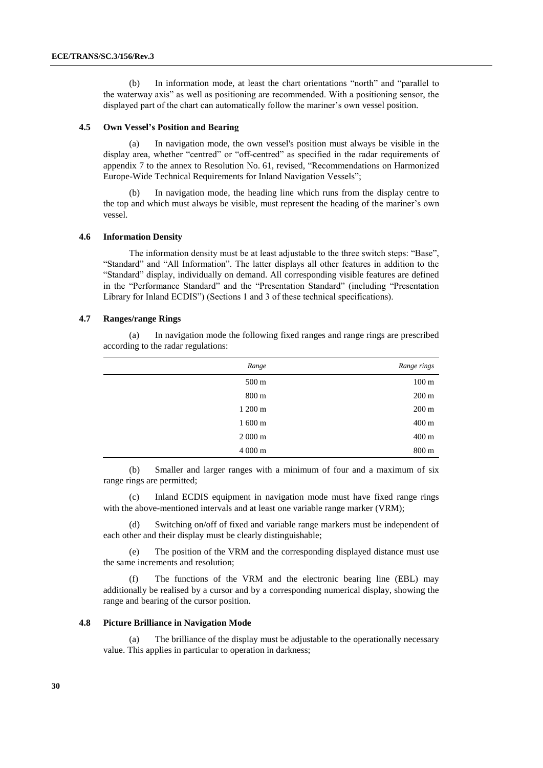(b) In information mode, at least the chart orientations "north" and "parallel to the waterway axis" as well as positioning are recommended. With a positioning sensor, the displayed part of the chart can automatically follow the mariner's own vessel position.

#### **4.5 Own Vessel's Position and Bearing**

(a) In navigation mode, the own vessel's position must always be visible in the display area, whether "centred" or "off-centred" as specified in the radar requirements of appendix 7 to the annex to Resolution No. 61, revised, "Recommendations on Harmonized Europe-Wide Technical Requirements for Inland Navigation Vessels";

In navigation mode, the heading line which runs from the display centre to the top and which must always be visible, must represent the heading of the mariner's own vessel.

#### **4.6 Information Density**

The information density must be at least adjustable to the three switch steps: "Base", "Standard" and "All Information". The latter displays all other features in addition to the "Standard" display, individually on demand. All corresponding visible features are defined in the "Performance Standard" and the "Presentation Standard" (including "Presentation Library for Inland ECDIS") (Sections 1 and 3 of these technical specifications).

#### **4.7 Ranges/range Rings**

(a) In navigation mode the following fixed ranges and range rings are prescribed according to the radar regulations:

| Range            | Range rings     |
|------------------|-----------------|
| $500 \text{ m}$  | $100 \text{ m}$ |
| 800 m            | $200 \text{ m}$ |
| 1 200 m          | $200 \text{ m}$ |
| $1600 \text{ m}$ | 400 m           |
| $2000 \text{ m}$ | 400 m           |
| 4 000 m          | 800 m           |

(b) Smaller and larger ranges with a minimum of four and a maximum of six range rings are permitted;

(c) Inland ECDIS equipment in navigation mode must have fixed range rings with the above-mentioned intervals and at least one variable range marker (VRM);

(d) Switching on/off of fixed and variable range markers must be independent of each other and their display must be clearly distinguishable;

(e) The position of the VRM and the corresponding displayed distance must use the same increments and resolution;

(f) The functions of the VRM and the electronic bearing line (EBL) may additionally be realised by a cursor and by a corresponding numerical display, showing the range and bearing of the cursor position.

#### **4.8 Picture Brilliance in Navigation Mode**

(a) The brilliance of the display must be adjustable to the operationally necessary value. This applies in particular to operation in darkness;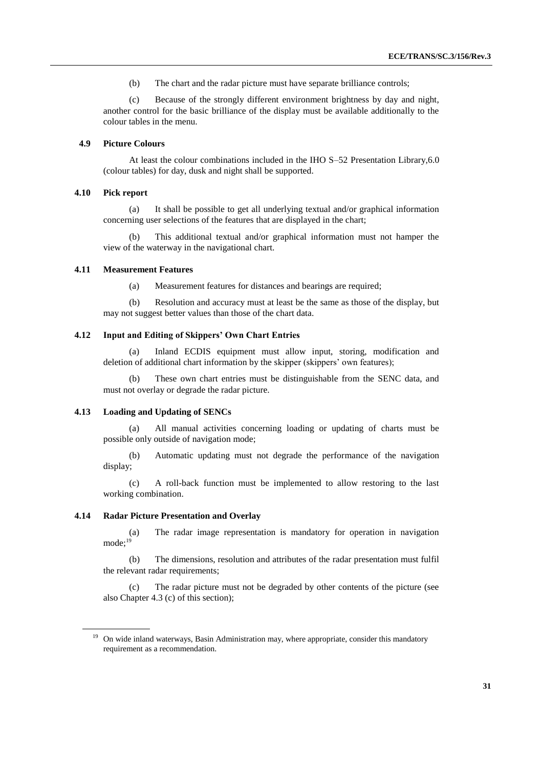(b) The chart and the radar picture must have separate brilliance controls;

(c) Because of the strongly different environment brightness by day and night, another control for the basic brilliance of the display must be available additionally to the colour tables in the menu.

#### **4.9 Picture Colours**

At least the colour combinations included in the IHO S–52 Presentation Library,6.0 (colour tables) for day, dusk and night shall be supported.

#### **4.10 Pick report**

(a) It shall be possible to get all underlying textual and/or graphical information concerning user selections of the features that are displayed in the chart;

(b) This additional textual and/or graphical information must not hamper the view of the waterway in the navigational chart.

#### **4.11 Measurement Features**

(a) Measurement features for distances and bearings are required;

(b) Resolution and accuracy must at least be the same as those of the display, but may not suggest better values than those of the chart data.

#### **4.12 Input and Editing of Skippers' Own Chart Entries**

(a) Inland ECDIS equipment must allow input, storing, modification and deletion of additional chart information by the skipper (skippers' own features);

(b) These own chart entries must be distinguishable from the SENC data, and must not overlay or degrade the radar picture.

#### **4.13 Loading and Updating of SENCs**

(a) All manual activities concerning loading or updating of charts must be possible only outside of navigation mode;

(b) Automatic updating must not degrade the performance of the navigation display;

(c) A roll-back function must be implemented to allow restoring to the last working combination.

#### **4.14 Radar Picture Presentation and Overlay**

(a) The radar image representation is mandatory for operation in navigation mode; 19

(b) The dimensions, resolution and attributes of the radar presentation must fulfil the relevant radar requirements;

(c) The radar picture must not be degraded by other contents of the picture (see also Chapter 4.3 (c) of this section);

<sup>&</sup>lt;sup>19</sup> On wide inland waterways, Basin Administration may, where appropriate, consider this mandatory requirement as a recommendation.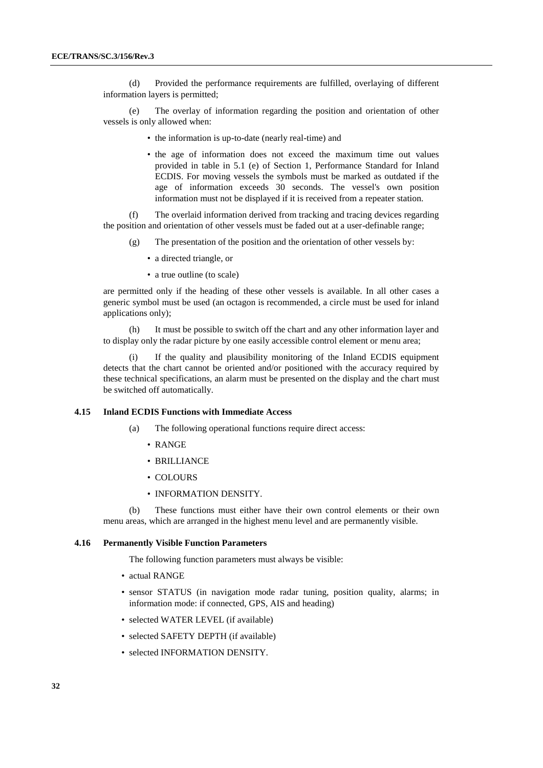(d) Provided the performance requirements are fulfilled, overlaying of different information layers is permitted;

(e) The overlay of information regarding the position and orientation of other vessels is only allowed when:

- the information is up-to-date (nearly real-time) and
- the age of information does not exceed the maximum time out values provided in table in 5.1 (e) of Section 1, Performance Standard for Inland ECDIS. For moving vessels the symbols must be marked as outdated if the age of information exceeds 30 seconds. The vessel's own position information must not be displayed if it is received from a repeater station.

(f) The overlaid information derived from tracking and tracing devices regarding the position and orientation of other vessels must be faded out at a user-definable range;

- (g) The presentation of the position and the orientation of other vessels by:
	- a directed triangle, or
	- a true outline (to scale)

are permitted only if the heading of these other vessels is available. In all other cases a generic symbol must be used (an octagon is recommended, a circle must be used for inland applications only);

(h) It must be possible to switch off the chart and any other information layer and to display only the radar picture by one easily accessible control element or menu area;

If the quality and plausibility monitoring of the Inland ECDIS equipment detects that the chart cannot be oriented and/or positioned with the accuracy required by these technical specifications, an alarm must be presented on the display and the chart must be switched off automatically.

#### **4.15 Inland ECDIS Functions with Immediate Access**

- (a) The following operational functions require direct access:
	- RANGE
	- BRILLIANCE
	- COLOURS
	- INFORMATION DENSITY.

(b) These functions must either have their own control elements or their own menu areas, which are arranged in the highest menu level and are permanently visible.

#### **4.16 Permanently Visible Function Parameters**

The following function parameters must always be visible:

- actual RANGE
- sensor STATUS (in navigation mode radar tuning, position quality, alarms; in information mode: if connected, GPS, AIS and heading)
- selected WATER LEVEL (if available)
- selected SAFETY DEPTH (if available)
- selected INFORMATION DENSITY.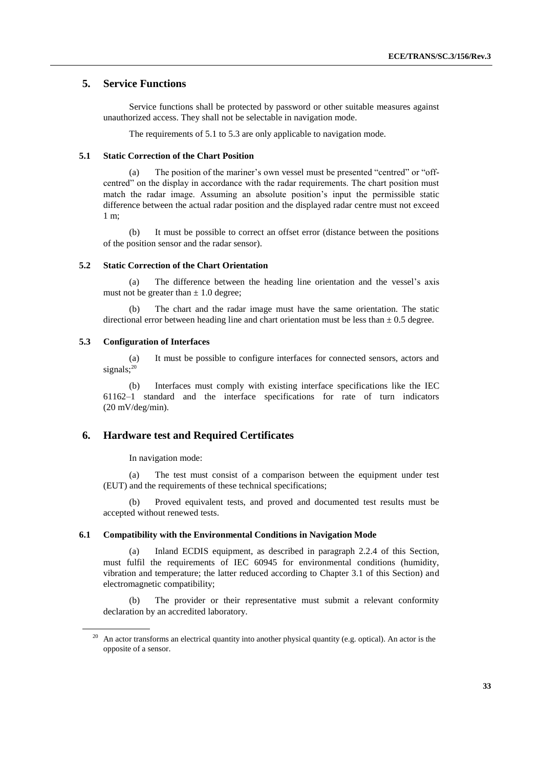# **5. Service Functions**

Service functions shall be protected by password or other suitable measures against unauthorized access. They shall not be selectable in navigation mode.

The requirements of 5.1 to 5.3 are only applicable to navigation mode.

#### **5.1 Static Correction of the Chart Position**

(a) The position of the mariner's own vessel must be presented "centred" or "offcentred" on the display in accordance with the radar requirements. The chart position must match the radar image. Assuming an absolute position's input the permissible static difference between the actual radar position and the displayed radar centre must not exceed 1 m;

(b) It must be possible to correct an offset error (distance between the positions of the position sensor and the radar sensor).

#### **5.2 Static Correction of the Chart Orientation**

The difference between the heading line orientation and the vessel's axis must not be greater than  $\pm$  1.0 degree;

(b) The chart and the radar image must have the same orientation. The static directional error between heading line and chart orientation must be less than  $\pm$  0.5 degree.

#### **5.3 Configuration of Interfaces**

(a) It must be possible to configure interfaces for connected sensors, actors and signals;<sup>20</sup>

(b) Interfaces must comply with existing interface specifications like the IEC 61162–1 standard and the interface specifications for rate of turn indicators (20 mV/deg/min).

# **6. Hardware test and Required Certificates**

In navigation mode:

(a) The test must consist of a comparison between the equipment under test (EUT) and the requirements of these technical specifications;

(b) Proved equivalent tests, and proved and documented test results must be accepted without renewed tests.

#### **6.1 Compatibility with the Environmental Conditions in Navigation Mode**

(a) Inland ECDIS equipment, as described in paragraph 2.2.4 of this Section, must fulfil the requirements of IEC 60945 for environmental conditions (humidity, vibration and temperature; the latter reduced according to Chapter 3.1 of this Section) and electromagnetic compatibility;

(b) The provider or their representative must submit a relevant conformity declaration by an accredited laboratory.

An actor transforms an electrical quantity into another physical quantity (e.g. optical). An actor is the opposite of a sensor.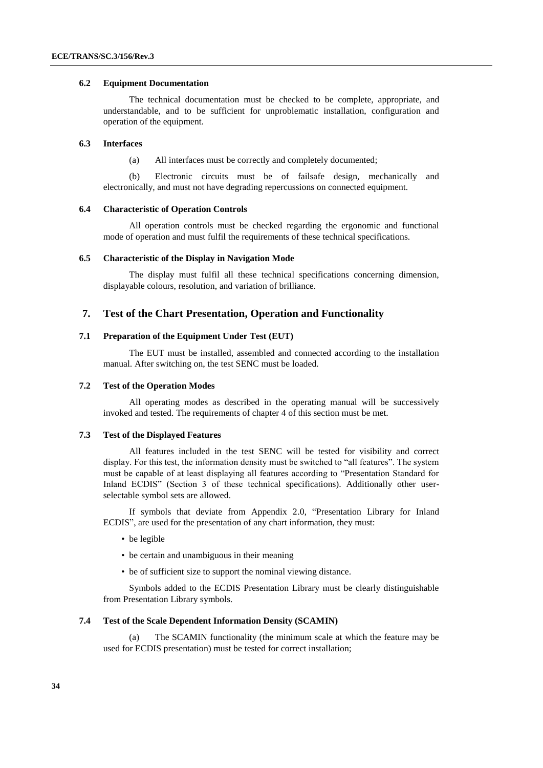#### **6.2 Equipment Documentation**

The technical documentation must be checked to be complete, appropriate, and understandable, and to be sufficient for unproblematic installation, configuration and operation of the equipment.

#### **6.3 Interfaces**

(a) All interfaces must be correctly and completely documented;

(b) Electronic circuits must be of failsafe design, mechanically and electronically, and must not have degrading repercussions on connected equipment.

#### **6.4 Characteristic of Operation Controls**

All operation controls must be checked regarding the ergonomic and functional mode of operation and must fulfil the requirements of these technical specifications.

#### **6.5 Characteristic of the Display in Navigation Mode**

The display must fulfil all these technical specifications concerning dimension, displayable colours, resolution, and variation of brilliance.

# **7. Test of the Chart Presentation, Operation and Functionality**

#### **7.1 Preparation of the Equipment Under Test (EUT)**

The EUT must be installed, assembled and connected according to the installation manual. After switching on, the test SENC must be loaded.

#### **7.2 Test of the Operation Modes**

All operating modes as described in the operating manual will be successively invoked and tested. The requirements of chapter 4 of this section must be met.

#### **7.3 Test of the Displayed Features**

All features included in the test SENC will be tested for visibility and correct display. For this test, the information density must be switched to "all features". The system must be capable of at least displaying all features according to "Presentation Standard for Inland ECDIS" (Section 3 of these technical specifications). Additionally other userselectable symbol sets are allowed.

If symbols that deviate from Appendix 2.0, "Presentation Library for Inland ECDIS", are used for the presentation of any chart information, they must:

- be legible
- be certain and unambiguous in their meaning
- be of sufficient size to support the nominal viewing distance.

Symbols added to the ECDIS Presentation Library must be clearly distinguishable from Presentation Library symbols.

#### **7.4 Test of the Scale Dependent Information Density (SCAMIN)**

(a) The SCAMIN functionality (the minimum scale at which the feature may be used for ECDIS presentation) must be tested for correct installation;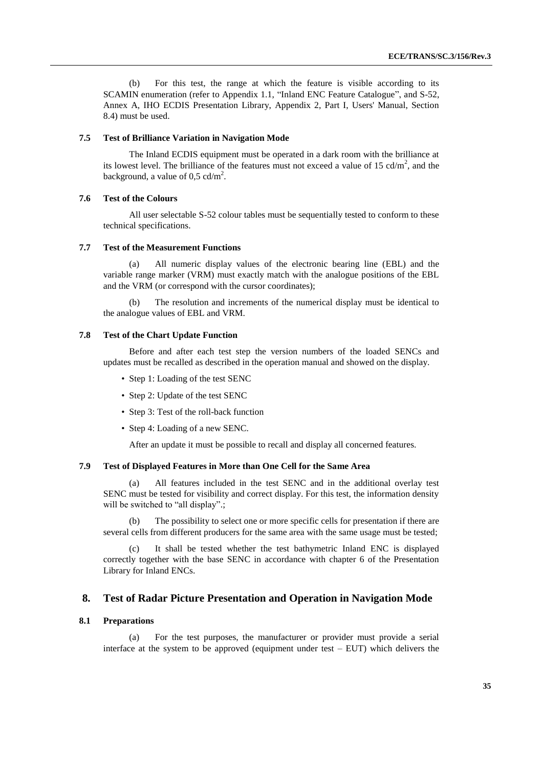(b) For this test, the range at which the feature is visible according to its SCAMIN enumeration (refer to Appendix 1.1, "Inland ENC Feature Catalogue", and S-52, Annex A, IHO ECDIS Presentation Library, Appendix 2, Part I, Users' Manual, Section 8.4) must be used.

#### **7.5 Test of Brilliance Variation in Navigation Mode**

The Inland ECDIS equipment must be operated in a dark room with the brilliance at its lowest level. The brilliance of the features must not exceed a value of 15  $cd/m<sup>2</sup>$ , and the background, a value of  $0.5$  cd/m<sup>2</sup>.

#### **7.6 Test of the Colours**

All user selectable S-52 colour tables must be sequentially tested to conform to these technical specifications.

#### **7.7 Test of the Measurement Functions**

All numeric display values of the electronic bearing line (EBL) and the variable range marker (VRM) must exactly match with the analogue positions of the EBL and the VRM (or correspond with the cursor coordinates);

The resolution and increments of the numerical display must be identical to the analogue values of EBL and VRM.

#### **7.8 Test of the Chart Update Function**

Before and after each test step the version numbers of the loaded SENCs and updates must be recalled as described in the operation manual and showed on the display.

- Step 1: Loading of the test SENC
- Step 2: Update of the test SENC
- Step 3: Test of the roll-back function
- Step 4: Loading of a new SENC.

After an update it must be possible to recall and display all concerned features.

#### **7.9 Test of Displayed Features in More than One Cell for the Same Area**

(a) All features included in the test SENC and in the additional overlay test SENC must be tested for visibility and correct display. For this test, the information density will be switched to "all display".;

(b) The possibility to select one or more specific cells for presentation if there are several cells from different producers for the same area with the same usage must be tested;

It shall be tested whether the test bathymetric Inland ENC is displayed correctly together with the base SENC in accordance with chapter 6 of the Presentation Library for Inland ENCs.

#### **8. Test of Radar Picture Presentation and Operation in Navigation Mode**

#### **8.1 Preparations**

(a) For the test purposes, the manufacturer or provider must provide a serial interface at the system to be approved (equipment under test – EUT) which delivers the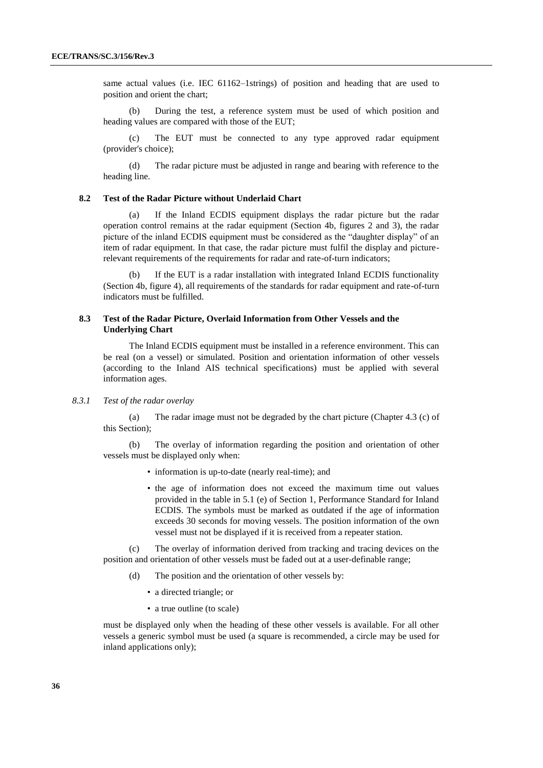same actual values (i.e. IEC 61162–1strings) of position and heading that are used to position and orient the chart;

(b) During the test, a reference system must be used of which position and heading values are compared with those of the EUT;

The EUT must be connected to any type approved radar equipment (provider's choice);

(d) The radar picture must be adjusted in range and bearing with reference to the heading line.

#### **8.2 Test of the Radar Picture without Underlaid Chart**

(a) If the Inland ECDIS equipment displays the radar picture but the radar operation control remains at the radar equipment (Section 4b, figures 2 and 3), the radar picture of the inland ECDIS equipment must be considered as the "daughter display" of an item of radar equipment. In that case, the radar picture must fulfil the display and picturerelevant requirements of the requirements for radar and rate-of-turn indicators;

If the EUT is a radar installation with integrated Inland ECDIS functionality (Section 4b, figure 4), all requirements of the standards for radar equipment and rate-of-turn indicators must be fulfilled.

### **8.3 Test of the Radar Picture, Overlaid Information from Other Vessels and the Underlying Chart**

The Inland ECDIS equipment must be installed in a reference environment. This can be real (on a vessel) or simulated. Position and orientation information of other vessels (according to the Inland AIS technical specifications) must be applied with several information ages.

#### *8.3.1 Test of the radar overlay*

(a) The radar image must not be degraded by the chart picture (Chapter 4.3 (c) of this Section);

(b) The overlay of information regarding the position and orientation of other vessels must be displayed only when:

- information is up-to-date (nearly real-time); and
- the age of information does not exceed the maximum time out values provided in the table in 5.1 (e) of Section 1, Performance Standard for Inland ECDIS. The symbols must be marked as outdated if the age of information exceeds 30 seconds for moving vessels. The position information of the own vessel must not be displayed if it is received from a repeater station.

(c) The overlay of information derived from tracking and tracing devices on the position and orientation of other vessels must be faded out at a user-definable range;

- (d) The position and the orientation of other vessels by:
	- a directed triangle; or
	- a true outline (to scale)

must be displayed only when the heading of these other vessels is available. For all other vessels a generic symbol must be used (a square is recommended, a circle may be used for inland applications only);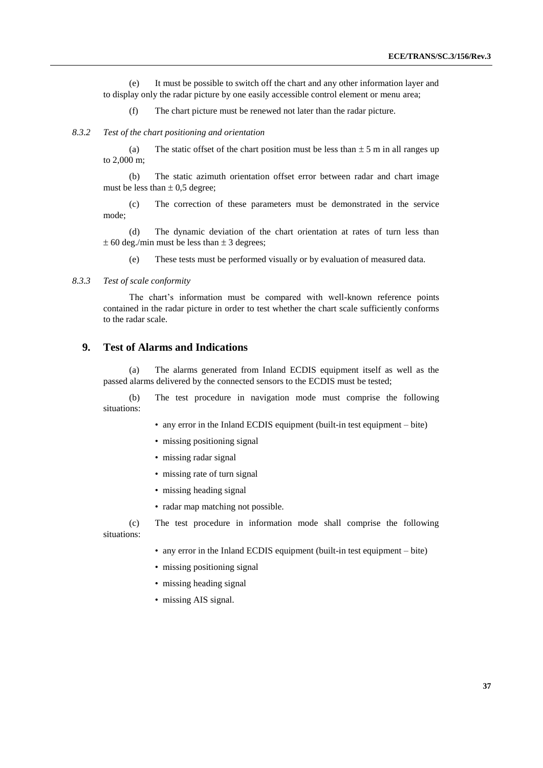(e) It must be possible to switch off the chart and any other information layer and to display only the radar picture by one easily accessible control element or menu area;

(f) The chart picture must be renewed not later than the radar picture.

#### *8.3.2 Test of the chart positioning and orientation*

(a) The static offset of the chart position must be less than  $\pm$  5 m in all ranges up to 2,000 m;

(b) The static azimuth orientation offset error between radar and chart image must be less than  $\pm$  0,5 degree;

(c) The correction of these parameters must be demonstrated in the service mode;

(d) The dynamic deviation of the chart orientation at rates of turn less than  $\pm$  60 deg./min must be less than  $\pm$  3 degrees;

(e) These tests must be performed visually or by evaluation of measured data.

#### *8.3.3 Test of scale conformity*

The chart's information must be compared with well-known reference points contained in the radar picture in order to test whether the chart scale sufficiently conforms to the radar scale.

# **9. Test of Alarms and Indications**

(a) The alarms generated from Inland ECDIS equipment itself as well as the passed alarms delivered by the connected sensors to the ECDIS must be tested;

(b) The test procedure in navigation mode must comprise the following situations:

- any error in the Inland ECDIS equipment (built-in test equipment bite)
- missing positioning signal
- missing radar signal
- missing rate of turn signal
- missing heading signal
- radar map matching not possible.

(c) The test procedure in information mode shall comprise the following situations:

- any error in the Inland ECDIS equipment (built-in test equipment bite)
- missing positioning signal
- missing heading signal
- missing AIS signal.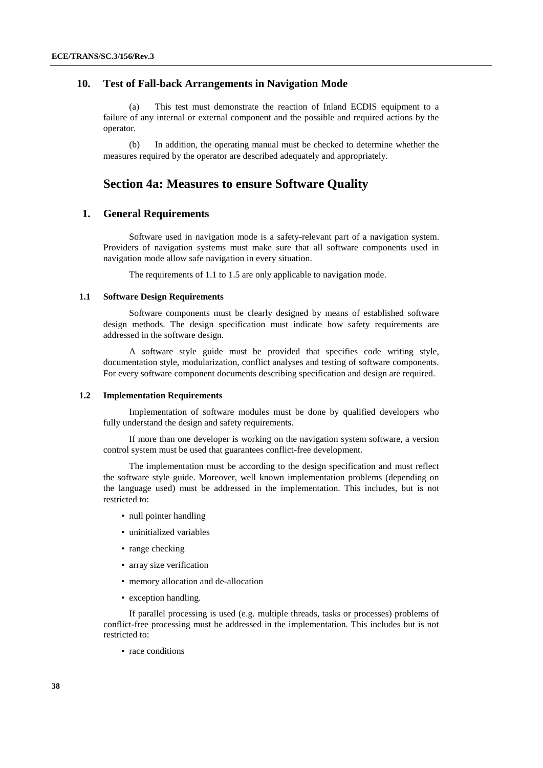# **10. Test of Fall-back Arrangements in Navigation Mode**

(a) This test must demonstrate the reaction of Inland ECDIS equipment to a failure of any internal or external component and the possible and required actions by the operator.

(b) In addition, the operating manual must be checked to determine whether the measures required by the operator are described adequately and appropriately.

# **Section 4a: Measures to ensure Software Quality**

# **1. General Requirements**

Software used in navigation mode is a safety-relevant part of a navigation system. Providers of navigation systems must make sure that all software components used in navigation mode allow safe navigation in every situation.

The requirements of 1.1 to 1.5 are only applicable to navigation mode.

#### **1.1 Software Design Requirements**

Software components must be clearly designed by means of established software design methods. The design specification must indicate how safety requirements are addressed in the software design.

A software style guide must be provided that specifies code writing style, documentation style, modularization, conflict analyses and testing of software components. For every software component documents describing specification and design are required.

#### **1.2 Implementation Requirements**

Implementation of software modules must be done by qualified developers who fully understand the design and safety requirements.

If more than one developer is working on the navigation system software, a version control system must be used that guarantees conflict-free development.

The implementation must be according to the design specification and must reflect the software style guide. Moreover, well known implementation problems (depending on the language used) must be addressed in the implementation. This includes, but is not restricted to:

- null pointer handling
- uninitialized variables
- range checking
- array size verification
- memory allocation and de-allocation
- exception handling.

If parallel processing is used (e.g. multiple threads, tasks or processes) problems of conflict-free processing must be addressed in the implementation. This includes but is not restricted to:

• race conditions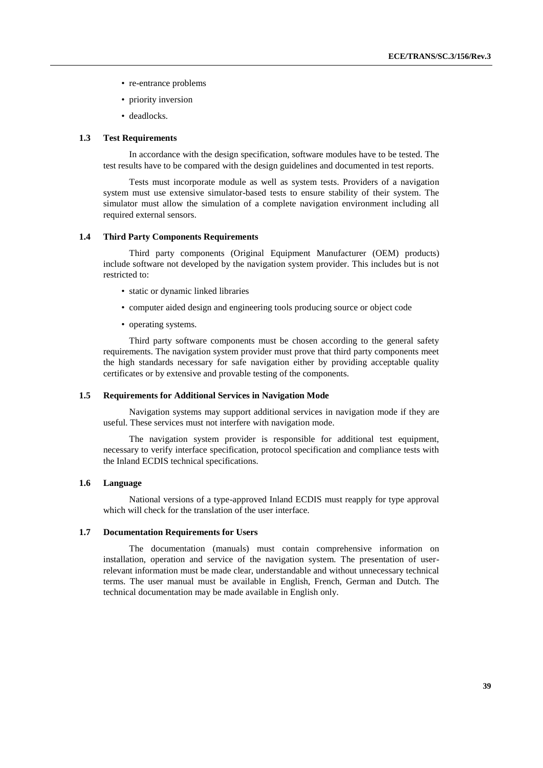- re-entrance problems
- priority inversion
- deadlocks.

#### **1.3 Test Requirements**

In accordance with the design specification, software modules have to be tested. The test results have to be compared with the design guidelines and documented in test reports.

Tests must incorporate module as well as system tests. Providers of a navigation system must use extensive simulator-based tests to ensure stability of their system. The simulator must allow the simulation of a complete navigation environment including all required external sensors.

#### **1.4 Third Party Components Requirements**

Third party components (Original Equipment Manufacturer (OEM) products) include software not developed by the navigation system provider. This includes but is not restricted to:

- static or dynamic linked libraries
- computer aided design and engineering tools producing source or object code
- operating systems.

Third party software components must be chosen according to the general safety requirements. The navigation system provider must prove that third party components meet the high standards necessary for safe navigation either by providing acceptable quality certificates or by extensive and provable testing of the components.

#### **1.5 Requirements for Additional Services in Navigation Mode**

Navigation systems may support additional services in navigation mode if they are useful. These services must not interfere with navigation mode.

The navigation system provider is responsible for additional test equipment, necessary to verify interface specification, protocol specification and compliance tests with the Inland ECDIS technical specifications.

#### **1.6 Language**

National versions of a type-approved Inland ECDIS must reapply for type approval which will check for the translation of the user interface.

#### **1.7 Documentation Requirements for Users**

The documentation (manuals) must contain comprehensive information on installation, operation and service of the navigation system. The presentation of userrelevant information must be made clear, understandable and without unnecessary technical terms. The user manual must be available in English, French, German and Dutch. The technical documentation may be made available in English only.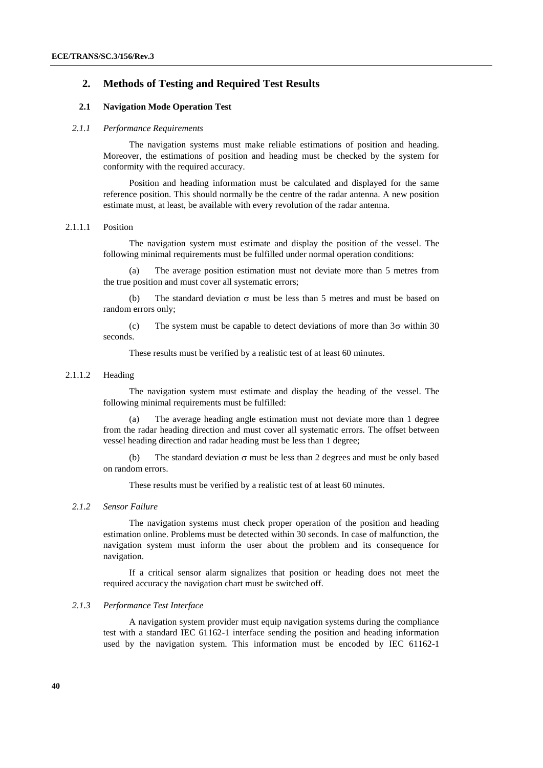# **2. Methods of Testing and Required Test Results**

### **2.1 Navigation Mode Operation Test**

#### *2.1.1 Performance Requirements*

The navigation systems must make reliable estimations of position and heading. Moreover, the estimations of position and heading must be checked by the system for conformity with the required accuracy.

Position and heading information must be calculated and displayed for the same reference position. This should normally be the centre of the radar antenna. A new position estimate must, at least, be available with every revolution of the radar antenna.

#### 2.1.1.1 Position

The navigation system must estimate and display the position of the vessel. The following minimal requirements must be fulfilled under normal operation conditions:

(a) The average position estimation must not deviate more than 5 metres from the true position and must cover all systematic errors;

(b) The standard deviation  $\sigma$  must be less than 5 metres and must be based on random errors only;

(c) The system must be capable to detect deviations of more than  $3\sigma$  within 30 seconds.

These results must be verified by a realistic test of at least 60 minutes.

#### 2.1.1.2 Heading

The navigation system must estimate and display the heading of the vessel. The following minimal requirements must be fulfilled:

(a) The average heading angle estimation must not deviate more than 1 degree from the radar heading direction and must cover all systematic errors. The offset between vessel heading direction and radar heading must be less than 1 degree;

(b) The standard deviation  $\sigma$  must be less than 2 degrees and must be only based on random errors.

These results must be verified by a realistic test of at least 60 minutes.

#### *2.1.2 Sensor Failure*

The navigation systems must check proper operation of the position and heading estimation online. Problems must be detected within 30 seconds. In case of malfunction, the navigation system must inform the user about the problem and its consequence for navigation.

If a critical sensor alarm signalizes that position or heading does not meet the required accuracy the navigation chart must be switched off.

#### *2.1.3 Performance Test Interface*

A navigation system provider must equip navigation systems during the compliance test with a standard IEC 61162-1 interface sending the position and heading information used by the navigation system. This information must be encoded by IEC 61162-1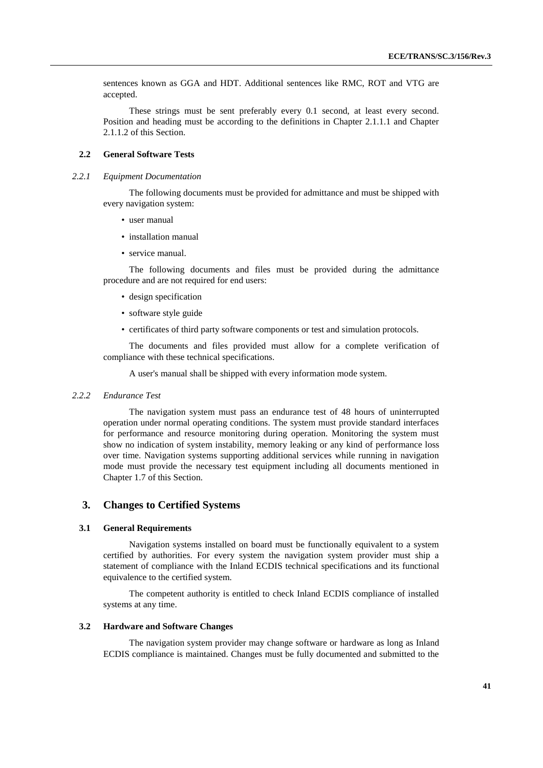sentences known as GGA and HDT. Additional sentences like RMC, ROT and VTG are accepted.

These strings must be sent preferably every 0.1 second, at least every second. Position and heading must be according to the definitions in Chapter 2.1.1.1 and Chapter 2.1.1.2 of this Section.

## **2.2 General Software Tests**

#### *2.2.1 Equipment Documentation*

The following documents must be provided for admittance and must be shipped with every navigation system:

- user manual
- installation manual
- service manual.

The following documents and files must be provided during the admittance procedure and are not required for end users:

- design specification
- software style guide
- certificates of third party software components or test and simulation protocols.

The documents and files provided must allow for a complete verification of compliance with these technical specifications.

A user's manual shall be shipped with every information mode system.

#### *2.2.2 Endurance Test*

The navigation system must pass an endurance test of 48 hours of uninterrupted operation under normal operating conditions. The system must provide standard interfaces for performance and resource monitoring during operation. Monitoring the system must show no indication of system instability, memory leaking or any kind of performance loss over time. Navigation systems supporting additional services while running in navigation mode must provide the necessary test equipment including all documents mentioned in Chapter 1.7 of this Section.

# **3. Changes to Certified Systems**

#### **3.1 General Requirements**

Navigation systems installed on board must be functionally equivalent to a system certified by authorities. For every system the navigation system provider must ship a statement of compliance with the Inland ECDIS technical specifications and its functional equivalence to the certified system.

The competent authority is entitled to check Inland ECDIS compliance of installed systems at any time.

#### **3.2 Hardware and Software Changes**

The navigation system provider may change software or hardware as long as Inland ECDIS compliance is maintained. Changes must be fully documented and submitted to the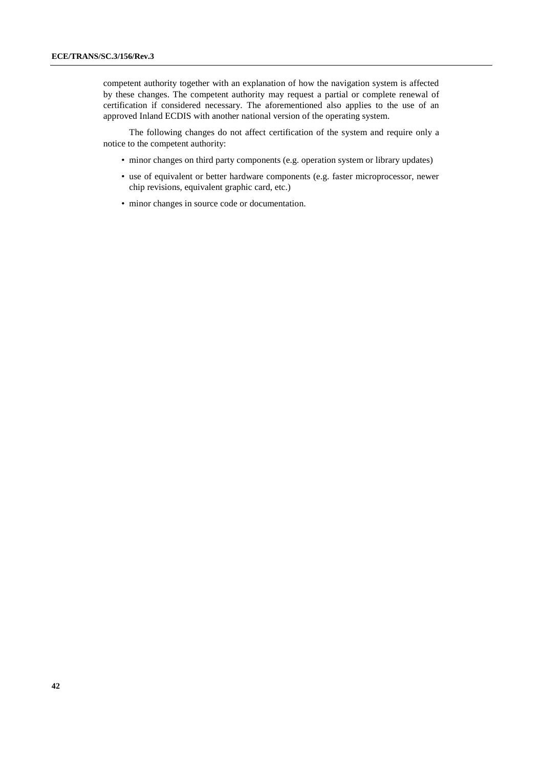competent authority together with an explanation of how the navigation system is affected by these changes. The competent authority may request a partial or complete renewal of certification if considered necessary. The aforementioned also applies to the use of an approved Inland ECDIS with another national version of the operating system.

The following changes do not affect certification of the system and require only a notice to the competent authority:

- minor changes on third party components (e.g. operation system or library updates)
- use of equivalent or better hardware components (e.g. faster microprocessor, newer chip revisions, equivalent graphic card, etc.)
- minor changes in source code or documentation.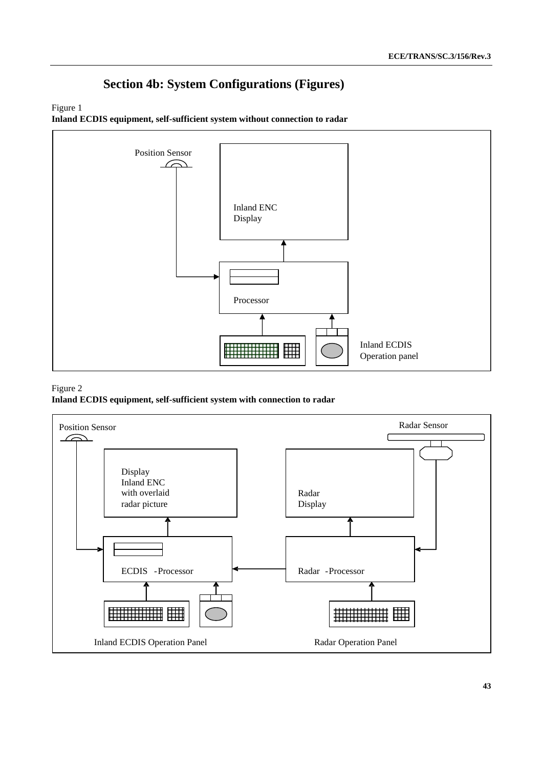# **Section 4b: System Configurations (Figures)**

# Figure 1

**Inland ECDIS equipment, self-sufficient system without connection to radar**



## Figure 2

**Inland ECDIS equipment, self-sufficient system with connection to radar**

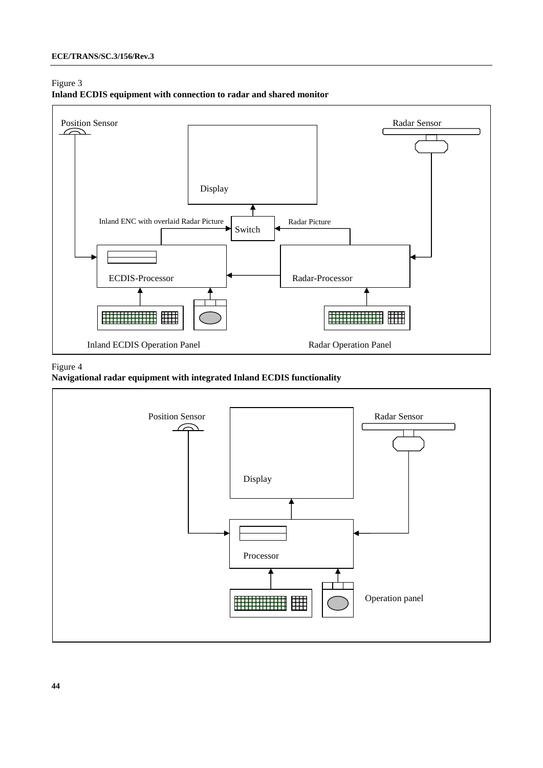# Figure 3





# Figure 4



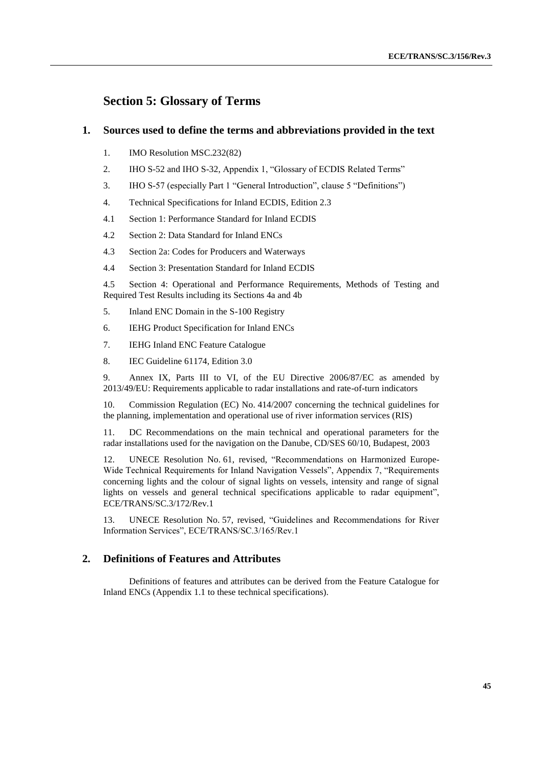# **Section 5: Glossary of Terms**

# **1. Sources used to define the terms and abbreviations provided in the text**

- 1. IMO Resolution MSC.232(82)
- 2. IHO S-52 and IHO S-32, Appendix 1, "Glossary of ECDIS Related Terms"
- 3. IHO S-57 (especially Part 1 "General Introduction", clause 5 "Definitions")
- 4. Technical Specifications for Inland ECDIS, Edition 2.3
- 4.1 Section 1: Performance Standard for Inland ECDIS
- 4.2 Section 2: Data Standard for Inland ENCs
- 4.3 Section 2a: Codes for Producers and Waterways
- 4.4 Section 3: Presentation Standard for Inland ECDIS

4.5 Section 4: Operational and Performance Requirements, Methods of Testing and Required Test Results including its Sections 4a and 4b

- 5. Inland ENC Domain in the S-100 Registry
- 6. IEHG Product Specification for Inland ENCs
- 7. IEHG Inland ENC Feature Catalogue
- 8. IEC Guideline 61174, Edition 3.0

9. Annex IX, Parts III to VI, of the EU Directive 2006/87/EC as amended by 2013/49/EU: Requirements applicable to radar installations and rate-of-turn indicators

10. Commission Regulation (EC) No. 414/2007 concerning the technical guidelines for the planning, implementation and operational use of river information services (RIS)

11. DC Recommendations on the main technical and operational parameters for the radar installations used for the navigation on the Danube, CD/SES 60/10, Budapest, 2003

12. UNECE Resolution No. 61, revised, "Recommendations on Harmonized Europe-Wide Technical Requirements for Inland Navigation Vessels", Appendix 7, "Requirements concerning lights and the colour of signal lights on vessels, intensity and range of signal lights on vessels and general technical specifications applicable to radar equipment", ECE/TRANS/SC.3/172/Rev.1

13. UNECE Resolution No. 57, revised, "Guidelines and Recommendations for River Information Services", ECE/TRANS/SC.3/165/Rev.1

# **2. Definitions of Features and Attributes**

Definitions of features and attributes can be derived from the Feature Catalogue for Inland ENCs (Appendix 1.1 to these technical specifications).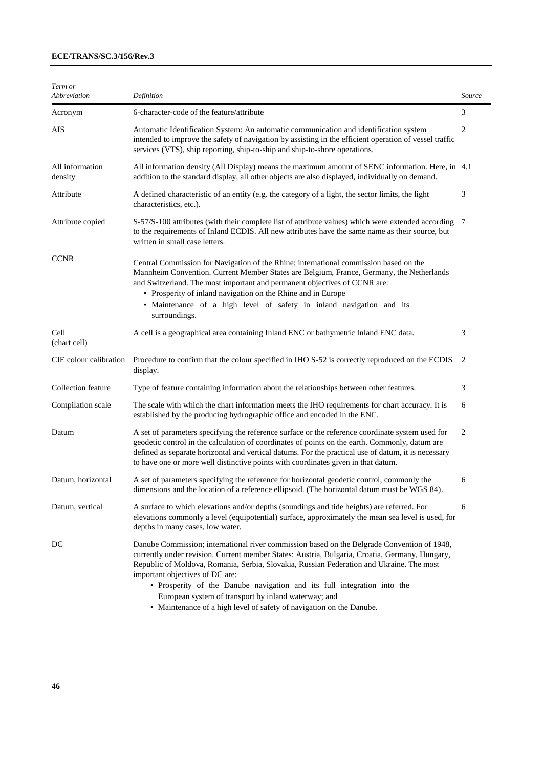| Definition                                                                                                                                                                                                                                                                                                                                                                                                                                                      | Source |
|-----------------------------------------------------------------------------------------------------------------------------------------------------------------------------------------------------------------------------------------------------------------------------------------------------------------------------------------------------------------------------------------------------------------------------------------------------------------|--------|
| 6-character-code of the feature/attribute                                                                                                                                                                                                                                                                                                                                                                                                                       | 3      |
| Automatic Identification System: An automatic communication and identification system<br>intended to improve the safety of navigation by assisting in the efficient operation of vessel traffic<br>services (VTS), ship reporting, ship-to-ship and ship-to-shore operations.                                                                                                                                                                                   | 2      |
| All information density (All Display) means the maximum amount of SENC information. Here, in 4.1<br>addition to the standard display, all other objects are also displayed, individually on demand.                                                                                                                                                                                                                                                             |        |
| A defined characteristic of an entity (e.g. the category of a light, the sector limits, the light<br>characteristics, etc.).                                                                                                                                                                                                                                                                                                                                    | 3      |
| S-57/S-100 attributes (with their complete list of attribute values) which were extended according 7<br>to the requirements of Inland ECDIS. All new attributes have the same name as their source, but<br>written in small case letters.                                                                                                                                                                                                                       |        |
| Central Commission for Navigation of the Rhine; international commission based on the<br>Mannheim Convention. Current Member States are Belgium, France, Germany, the Netherlands<br>and Switzerland. The most important and permanent objectives of CCNR are:<br>• Prosperity of inland navigation on the Rhine and in Europe<br>· Maintenance of a high level of safety in inland navigation and its<br>surroundings.                                         |        |
| A cell is a geographical area containing Inland ENC or bathymetric Inland ENC data.                                                                                                                                                                                                                                                                                                                                                                             | 3      |
| Procedure to confirm that the colour specified in IHO S-52 is correctly reproduced on the ECDIS<br>display.                                                                                                                                                                                                                                                                                                                                                     | 2      |
| Type of feature containing information about the relationships between other features.                                                                                                                                                                                                                                                                                                                                                                          | 3      |
| The scale with which the chart information meets the IHO requirements for chart accuracy. It is<br>established by the producing hydrographic office and encoded in the ENC.                                                                                                                                                                                                                                                                                     | 6      |
| A set of parameters specifying the reference surface or the reference coordinate system used for<br>geodetic control in the calculation of coordinates of points on the earth. Commonly, datum are<br>defined as separate horizontal and vertical datums. For the practical use of datum, it is necessary<br>to have one or more well distinctive points with coordinates given in that datum.                                                                  | 2      |
| A set of parameters specifying the reference for horizontal geodetic control, commonly the<br>dimensions and the location of a reference ellipsoid. (The horizontal datum must be WGS 84).                                                                                                                                                                                                                                                                      | 6      |
| A surface to which elevations and/or depths (soundings and tide heights) are referred. For<br>elevations commonly a level (equipotential) surface, approximately the mean sea level is used, for<br>depths in many cases, low water.                                                                                                                                                                                                                            | 6      |
| Danube Commission; international river commission based on the Belgrade Convention of 1948,<br>currently under revision. Current member States: Austria, Bulgaria, Croatia, Germany, Hungary,<br>Republic of Moldova, Romania, Serbia, Slovakia, Russian Federation and Ukraine. The most<br>important objectives of DC are:<br>• Prosperity of the Danube navigation and its full integration into the<br>European system of transport by inland waterway; and |        |
|                                                                                                                                                                                                                                                                                                                                                                                                                                                                 |        |

• Maintenance of a high level of safety of navigation on the Danube.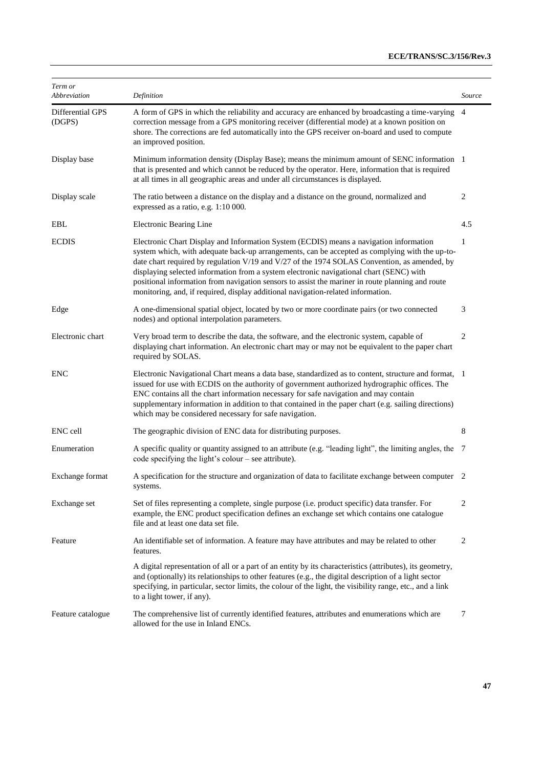| Term or<br>Abbreviation    | Definition                                                                                                                                                                                                                                                                                                                                                                                                                                                                                                                                                                  | Source         |
|----------------------------|-----------------------------------------------------------------------------------------------------------------------------------------------------------------------------------------------------------------------------------------------------------------------------------------------------------------------------------------------------------------------------------------------------------------------------------------------------------------------------------------------------------------------------------------------------------------------------|----------------|
| Differential GPS<br>(DGPS) | A form of GPS in which the reliability and accuracy are enhanced by broadcasting a time-varying<br>correction message from a GPS monitoring receiver (differential mode) at a known position on<br>shore. The corrections are fed automatically into the GPS receiver on-board and used to compute<br>an improved position.                                                                                                                                                                                                                                                 | $\overline{4}$ |
| Display base               | Minimum information density (Display Base); means the minimum amount of SENC information 1<br>that is presented and which cannot be reduced by the operator. Here, information that is required<br>at all times in all geographic areas and under all circumstances is displayed.                                                                                                                                                                                                                                                                                           |                |
| Display scale              | The ratio between a distance on the display and a distance on the ground, normalized and<br>expressed as a ratio, e.g. 1:10 000.                                                                                                                                                                                                                                                                                                                                                                                                                                            | 2              |
| EBL                        | Electronic Bearing Line                                                                                                                                                                                                                                                                                                                                                                                                                                                                                                                                                     | 4.5            |
| <b>ECDIS</b>               | Electronic Chart Display and Information System (ECDIS) means a navigation information<br>system which, with adequate back-up arrangements, can be accepted as complying with the up-to-<br>date chart required by regulation V/19 and V/27 of the 1974 SOLAS Convention, as amended, by<br>displaying selected information from a system electronic navigational chart (SENC) with<br>positional information from navigation sensors to assist the mariner in route planning and route<br>monitoring, and, if required, display additional navigation-related information. | 1              |
| Edge                       | A one-dimensional spatial object, located by two or more coordinate pairs (or two connected<br>nodes) and optional interpolation parameters.                                                                                                                                                                                                                                                                                                                                                                                                                                | 3              |
| Electronic chart           | Very broad term to describe the data, the software, and the electronic system, capable of<br>displaying chart information. An electronic chart may or may not be equivalent to the paper chart<br>required by SOLAS.                                                                                                                                                                                                                                                                                                                                                        | 2              |
| <b>ENC</b>                 | Electronic Navigational Chart means a data base, standardized as to content, structure and format, 1<br>issued for use with ECDIS on the authority of government authorized hydrographic offices. The<br>ENC contains all the chart information necessary for safe navigation and may contain<br>supplementary information in addition to that contained in the paper chart (e.g. sailing directions)<br>which may be considered necessary for safe navigation.                                                                                                             |                |
| ENC cell                   | The geographic division of ENC data for distributing purposes.                                                                                                                                                                                                                                                                                                                                                                                                                                                                                                              | 8              |
| Enumeration                | A specific quality or quantity assigned to an attribute (e.g. "leading light", the limiting angles, the 7<br>code specifying the light's colour – see attribute).                                                                                                                                                                                                                                                                                                                                                                                                           |                |
| Exchange format            | A specification for the structure and organization of data to facilitate exchange between computer 2<br>systems.                                                                                                                                                                                                                                                                                                                                                                                                                                                            |                |
| Exchange set               | Set of files representing a complete, single purpose (i.e. product specific) data transfer. For<br>example, the ENC product specification defines an exchange set which contains one catalogue<br>file and at least one data set file.                                                                                                                                                                                                                                                                                                                                      | 2              |
| Feature                    | An identifiable set of information. A feature may have attributes and may be related to other<br>features.                                                                                                                                                                                                                                                                                                                                                                                                                                                                  | 2              |
|                            | A digital representation of all or a part of an entity by its characteristics (attributes), its geometry,<br>and (optionally) its relationships to other features (e.g., the digital description of a light sector<br>specifying, in particular, sector limits, the colour of the light, the visibility range, etc., and a link<br>to a light tower, if any).                                                                                                                                                                                                               |                |
| Feature catalogue          | The comprehensive list of currently identified features, attributes and enumerations which are<br>allowed for the use in Inland ENCs.                                                                                                                                                                                                                                                                                                                                                                                                                                       | $\tau$         |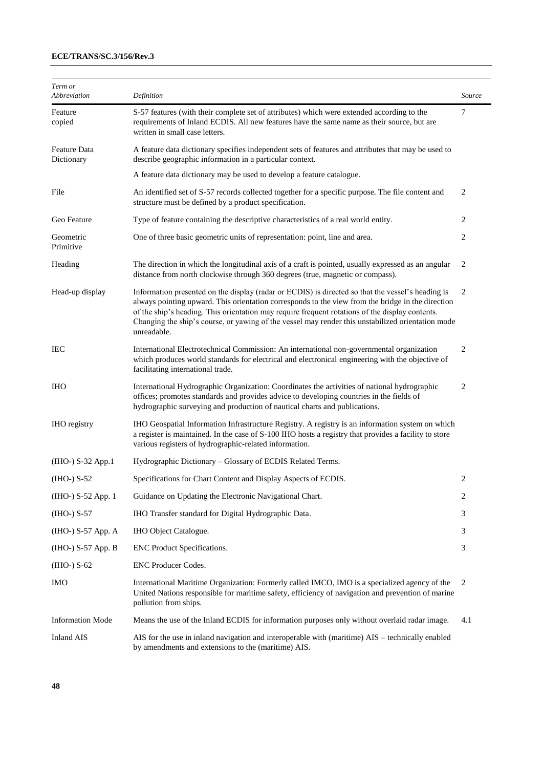| Term or<br>Abbreviation           | Definition                                                                                                                                                                                                                                                                                                                                                                                                                    | Source |
|-----------------------------------|-------------------------------------------------------------------------------------------------------------------------------------------------------------------------------------------------------------------------------------------------------------------------------------------------------------------------------------------------------------------------------------------------------------------------------|--------|
| Feature<br>copied                 | S-57 features (with their complete set of attributes) which were extended according to the<br>requirements of Inland ECDIS. All new features have the same name as their source, but are<br>written in small case letters.                                                                                                                                                                                                    | 7      |
| <b>Feature Data</b><br>Dictionary | A feature data dictionary specifies independent sets of features and attributes that may be used to<br>describe geographic information in a particular context.                                                                                                                                                                                                                                                               |        |
|                                   | A feature data dictionary may be used to develop a feature catalogue.                                                                                                                                                                                                                                                                                                                                                         |        |
| File                              | An identified set of S-57 records collected together for a specific purpose. The file content and<br>structure must be defined by a product specification.                                                                                                                                                                                                                                                                    | 2      |
| Geo Feature                       | Type of feature containing the descriptive characteristics of a real world entity.                                                                                                                                                                                                                                                                                                                                            | 2      |
| Geometric<br>Primitive            | One of three basic geometric units of representation: point, line and area.                                                                                                                                                                                                                                                                                                                                                   | 2      |
| Heading                           | The direction in which the longitudinal axis of a craft is pointed, usually expressed as an angular<br>distance from north clockwise through 360 degrees (true, magnetic or compass).                                                                                                                                                                                                                                         | 2      |
| Head-up display                   | Information presented on the display (radar or ECDIS) is directed so that the vessel's heading is<br>always pointing upward. This orientation corresponds to the view from the bridge in the direction<br>of the ship's heading. This orientation may require frequent rotations of the display contents.<br>Changing the ship's course, or yawing of the vessel may render this unstabilized orientation mode<br>unreadable. | 2      |
| IEC                               | International Electrotechnical Commission: An international non-governmental organization<br>which produces world standards for electrical and electronical engineering with the objective of<br>facilitating international trade.                                                                                                                                                                                            | 2      |
| <b>IHO</b>                        | International Hydrographic Organization: Coordinates the activities of national hydrographic<br>offices; promotes standards and provides advice to developing countries in the fields of<br>hydrographic surveying and production of nautical charts and publications.                                                                                                                                                        | 2      |
| <b>IHO</b> registry               | IHO Geospatial Information Infrastructure Registry. A registry is an information system on which<br>a register is maintained. In the case of S-100 IHO hosts a registry that provides a facility to store<br>various registers of hydrographic-related information.                                                                                                                                                           |        |
| (IHO-) S-32 App.1                 | Hydrographic Dictionary - Glossary of ECDIS Related Terms.                                                                                                                                                                                                                                                                                                                                                                    |        |
| $(HIO-) S-52$                     | Specifications for Chart Content and Display Aspects of ECDIS.                                                                                                                                                                                                                                                                                                                                                                | 2      |
| (IHO-) S-52 App. 1                | Guidance on Updating the Electronic Navigational Chart.                                                                                                                                                                                                                                                                                                                                                                       | 2      |
| $(HIO-) S-57$                     | IHO Transfer standard for Digital Hydrographic Data.                                                                                                                                                                                                                                                                                                                                                                          | 3      |
| (IHO-) S-57 App. A                | IHO Object Catalogue.                                                                                                                                                                                                                                                                                                                                                                                                         | 3      |
| (IHO-) S-57 App. B                | ENC Product Specifications.                                                                                                                                                                                                                                                                                                                                                                                                   | 3      |
| $(HIO-) S-62$                     | ENC Producer Codes.                                                                                                                                                                                                                                                                                                                                                                                                           |        |
| IMO                               | International Maritime Organization: Formerly called IMCO, IMO is a specialized agency of the<br>United Nations responsible for maritime safety, efficiency of navigation and prevention of marine<br>pollution from ships.                                                                                                                                                                                                   | 2      |
| <b>Information Mode</b>           | Means the use of the Inland ECDIS for information purposes only without overlaid radar image.                                                                                                                                                                                                                                                                                                                                 | 4.1    |
| <b>Inland AIS</b>                 | AIS for the use in inland navigation and interoperable with (maritime) AIS – technically enabled<br>by amendments and extensions to the (maritime) AIS.                                                                                                                                                                                                                                                                       |        |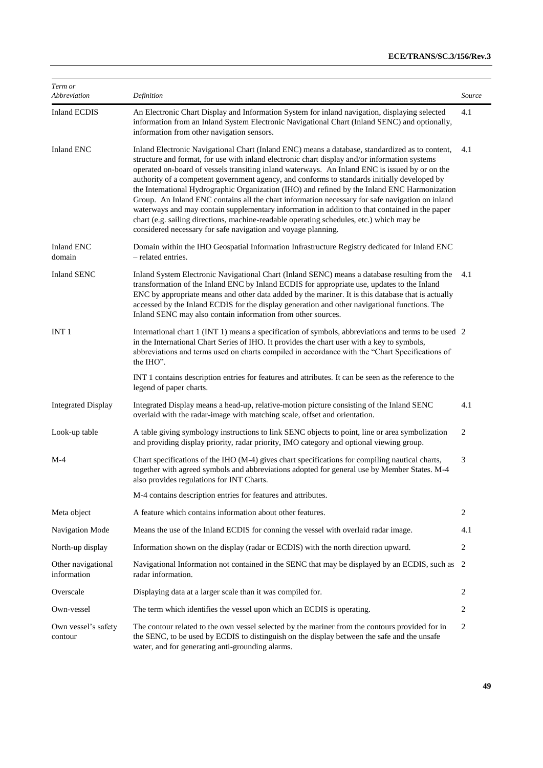| Term or<br>Abbreviation           | Definition                                                                                                                                                                                                                                                                                                                                                                                                                                                                                                                                                                                                                                                                                                                                                                                                                                                            | Source |
|-----------------------------------|-----------------------------------------------------------------------------------------------------------------------------------------------------------------------------------------------------------------------------------------------------------------------------------------------------------------------------------------------------------------------------------------------------------------------------------------------------------------------------------------------------------------------------------------------------------------------------------------------------------------------------------------------------------------------------------------------------------------------------------------------------------------------------------------------------------------------------------------------------------------------|--------|
| <b>Inland ECDIS</b>               | An Electronic Chart Display and Information System for inland navigation, displaying selected<br>information from an Inland System Electronic Navigational Chart (Inland SENC) and optionally,<br>information from other navigation sensors.                                                                                                                                                                                                                                                                                                                                                                                                                                                                                                                                                                                                                          | 4.1    |
| <b>Inland ENC</b>                 | Inland Electronic Navigational Chart (Inland ENC) means a database, standardized as to content,<br>structure and format, for use with inland electronic chart display and/or information systems<br>operated on-board of vessels transiting inland waterways. An Inland ENC is issued by or on the<br>authority of a competent government agency, and conforms to standards initially developed by<br>the International Hydrographic Organization (IHO) and refined by the Inland ENC Harmonization<br>Group. An Inland ENC contains all the chart information necessary for safe navigation on inland<br>waterways and may contain supplementary information in addition to that contained in the paper<br>chart (e.g. sailing directions, machine-readable operating schedules, etc.) which may be<br>considered necessary for safe navigation and voyage planning. | 4.1    |
| <b>Inland ENC</b><br>domain       | Domain within the IHO Geospatial Information Infrastructure Registry dedicated for Inland ENC<br>- related entries.                                                                                                                                                                                                                                                                                                                                                                                                                                                                                                                                                                                                                                                                                                                                                   |        |
| <b>Inland SENC</b>                | Inland System Electronic Navigational Chart (Inland SENC) means a database resulting from the<br>transformation of the Inland ENC by Inland ECDIS for appropriate use, updates to the Inland<br>ENC by appropriate means and other data added by the mariner. It is this database that is actually<br>accessed by the Inland ECDIS for the display generation and other navigational functions. The<br>Inland SENC may also contain information from other sources.                                                                                                                                                                                                                                                                                                                                                                                                   | 4.1    |
| INT <sub>1</sub>                  | International chart 1 (INT 1) means a specification of symbols, abbreviations and terms to be used 2<br>in the International Chart Series of IHO. It provides the chart user with a key to symbols,<br>abbreviations and terms used on charts compiled in accordance with the "Chart Specifications of<br>the IHO".                                                                                                                                                                                                                                                                                                                                                                                                                                                                                                                                                   |        |
|                                   | INT 1 contains description entries for features and attributes. It can be seen as the reference to the<br>legend of paper charts.                                                                                                                                                                                                                                                                                                                                                                                                                                                                                                                                                                                                                                                                                                                                     |        |
| <b>Integrated Display</b>         | Integrated Display means a head-up, relative-motion picture consisting of the Inland SENC<br>overlaid with the radar-image with matching scale, offset and orientation.                                                                                                                                                                                                                                                                                                                                                                                                                                                                                                                                                                                                                                                                                               | 4.1    |
| Look-up table                     | A table giving symbology instructions to link SENC objects to point, line or area symbolization<br>and providing display priority, radar priority, IMO category and optional viewing group.                                                                                                                                                                                                                                                                                                                                                                                                                                                                                                                                                                                                                                                                           | 2      |
| $M-4$                             | Chart specifications of the IHO (M-4) gives chart specifications for compiling nautical charts,<br>together with agreed symbols and abbreviations adopted for general use by Member States. M-4<br>also provides regulations for INT Charts.                                                                                                                                                                                                                                                                                                                                                                                                                                                                                                                                                                                                                          | 3      |
|                                   | M-4 contains description entries for features and attributes.                                                                                                                                                                                                                                                                                                                                                                                                                                                                                                                                                                                                                                                                                                                                                                                                         |        |
| Meta object                       | A feature which contains information about other features.                                                                                                                                                                                                                                                                                                                                                                                                                                                                                                                                                                                                                                                                                                                                                                                                            | 2      |
| Navigation Mode                   | Means the use of the Inland ECDIS for conning the vessel with overlaid radar image.                                                                                                                                                                                                                                                                                                                                                                                                                                                                                                                                                                                                                                                                                                                                                                                   | 4.1    |
| North-up display                  | Information shown on the display (radar or ECDIS) with the north direction upward.                                                                                                                                                                                                                                                                                                                                                                                                                                                                                                                                                                                                                                                                                                                                                                                    | 2      |
| Other navigational<br>information | Navigational Information not contained in the SENC that may be displayed by an ECDIS, such as 2<br>radar information.                                                                                                                                                                                                                                                                                                                                                                                                                                                                                                                                                                                                                                                                                                                                                 |        |
| Overscale                         | Displaying data at a larger scale than it was compiled for.                                                                                                                                                                                                                                                                                                                                                                                                                                                                                                                                                                                                                                                                                                                                                                                                           | 2      |
| Own-vessel                        | The term which identifies the vessel upon which an ECDIS is operating.                                                                                                                                                                                                                                                                                                                                                                                                                                                                                                                                                                                                                                                                                                                                                                                                | 2      |
| Own vessel's safety<br>contour    | The contour related to the own vessel selected by the mariner from the contours provided for in<br>the SENC, to be used by ECDIS to distinguish on the display between the safe and the unsafe<br>water, and for generating anti-grounding alarms.                                                                                                                                                                                                                                                                                                                                                                                                                                                                                                                                                                                                                    | 2      |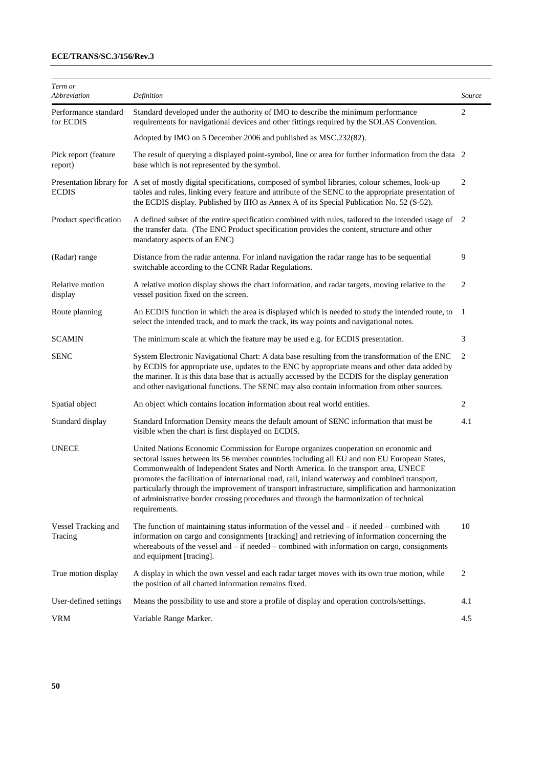| Term or                           |                                                                                                                                                                                                                                                                                                                                                                                                                                                                                                                                                                                               |                |
|-----------------------------------|-----------------------------------------------------------------------------------------------------------------------------------------------------------------------------------------------------------------------------------------------------------------------------------------------------------------------------------------------------------------------------------------------------------------------------------------------------------------------------------------------------------------------------------------------------------------------------------------------|----------------|
| Abbreviation                      | Definition                                                                                                                                                                                                                                                                                                                                                                                                                                                                                                                                                                                    | Source         |
| Performance standard<br>for ECDIS | Standard developed under the authority of IMO to describe the minimum performance<br>requirements for navigational devices and other fittings required by the SOLAS Convention.                                                                                                                                                                                                                                                                                                                                                                                                               | $\overline{c}$ |
|                                   | Adopted by IMO on 5 December 2006 and published as MSC.232(82).                                                                                                                                                                                                                                                                                                                                                                                                                                                                                                                               |                |
| Pick report (feature<br>report)   | The result of querying a displayed point-symbol, line or area for further information from the data 2<br>base which is not represented by the symbol.                                                                                                                                                                                                                                                                                                                                                                                                                                         |                |
| <b>ECDIS</b>                      | Presentation library for A set of mostly digital specifications, composed of symbol libraries, colour schemes, look-up<br>tables and rules, linking every feature and attribute of the SENC to the appropriate presentation of<br>the ECDIS display. Published by IHO as Annex A of its Special Publication No. 52 (S-52).                                                                                                                                                                                                                                                                    | 2              |
| Product specification             | A defined subset of the entire specification combined with rules, tailored to the intended usage of<br>the transfer data. (The ENC Product specification provides the content, structure and other<br>mandatory aspects of an ENC)                                                                                                                                                                                                                                                                                                                                                            | 2              |
| (Radar) range                     | Distance from the radar antenna. For inland navigation the radar range has to be sequential<br>switchable according to the CCNR Radar Regulations.                                                                                                                                                                                                                                                                                                                                                                                                                                            | 9              |
| Relative motion<br>display        | A relative motion display shows the chart information, and radar targets, moving relative to the<br>vessel position fixed on the screen.                                                                                                                                                                                                                                                                                                                                                                                                                                                      | 2              |
| Route planning                    | An ECDIS function in which the area is displayed which is needed to study the intended route, to<br>select the intended track, and to mark the track, its way points and navigational notes.                                                                                                                                                                                                                                                                                                                                                                                                  | -1             |
| <b>SCAMIN</b>                     | The minimum scale at which the feature may be used e.g. for ECDIS presentation.                                                                                                                                                                                                                                                                                                                                                                                                                                                                                                               | 3              |
| <b>SENC</b>                       | System Electronic Navigational Chart: A data base resulting from the transformation of the ENC<br>by ECDIS for appropriate use, updates to the ENC by appropriate means and other data added by<br>the mariner. It is this data base that is actually accessed by the ECDIS for the display generation<br>and other navigational functions. The SENC may also contain information from other sources.                                                                                                                                                                                         | 2              |
| Spatial object                    | An object which contains location information about real world entities.                                                                                                                                                                                                                                                                                                                                                                                                                                                                                                                      | 2              |
| Standard display                  | Standard Information Density means the default amount of SENC information that must be<br>visible when the chart is first displayed on ECDIS.                                                                                                                                                                                                                                                                                                                                                                                                                                                 | 4.1            |
| <b>UNECE</b>                      | United Nations Economic Commission for Europe organizes cooperation on economic and<br>sectoral issues between its 56 member countries including all EU and non EU European States,<br>Commonwealth of Independent States and North America. In the transport area, UNECE<br>promotes the facilitation of international road, rail, inland waterway and combined transport,<br>particularly through the improvement of transport infrastructure, simplification and harmonization<br>of administrative border crossing procedures and through the harmonization of technical<br>requirements. |                |
| Vessel Tracking and<br>Tracing    | The function of maintaining status information of the vessel and $-$ if needed $-$ combined with<br>information on cargo and consignments [tracking] and retrieving of information concerning the<br>whereabouts of the vessel and $-$ if needed $-$ combined with information on cargo, consignments<br>and equipment [tracing].                                                                                                                                                                                                                                                             | 10             |
| True motion display               | A display in which the own vessel and each radar target moves with its own true motion, while<br>the position of all charted information remains fixed.                                                                                                                                                                                                                                                                                                                                                                                                                                       | $\overline{c}$ |
| User-defined settings             | Means the possibility to use and store a profile of display and operation controls/settings.                                                                                                                                                                                                                                                                                                                                                                                                                                                                                                  | 4.1            |
| <b>VRM</b>                        | Variable Range Marker.                                                                                                                                                                                                                                                                                                                                                                                                                                                                                                                                                                        | 4.5            |
|                                   |                                                                                                                                                                                                                                                                                                                                                                                                                                                                                                                                                                                               |                |